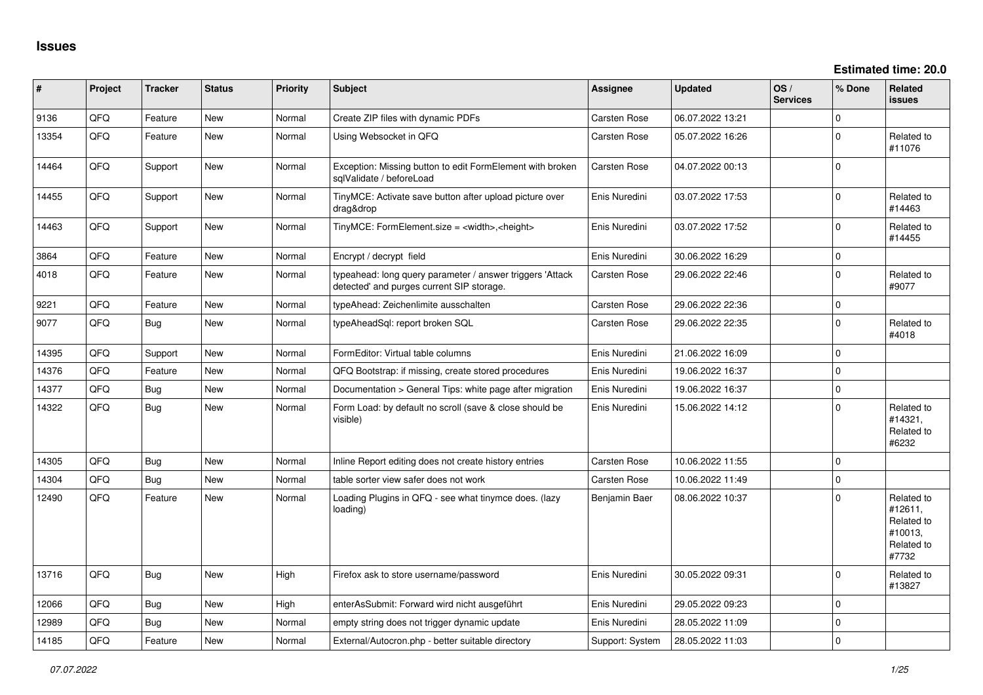| #     | Project | <b>Tracker</b> | <b>Status</b> | <b>Priority</b> | <b>Subject</b>                                                                                         | Assignee            | <b>Updated</b>   | OS/<br><b>Services</b> | % Done      | Related<br><b>issues</b>                                              |
|-------|---------|----------------|---------------|-----------------|--------------------------------------------------------------------------------------------------------|---------------------|------------------|------------------------|-------------|-----------------------------------------------------------------------|
| 9136  | QFQ     | Feature        | <b>New</b>    | Normal          | Create ZIP files with dynamic PDFs                                                                     | Carsten Rose        | 06.07.2022 13:21 |                        | $\Omega$    |                                                                       |
| 13354 | QFQ     | Feature        | <b>New</b>    | Normal          | Using Websocket in QFQ                                                                                 | <b>Carsten Rose</b> | 05.07.2022 16:26 |                        | $\Omega$    | Related to<br>#11076                                                  |
| 14464 | QFQ     | Support        | New           | Normal          | Exception: Missing button to edit FormElement with broken<br>sglValidate / beforeLoad                  | Carsten Rose        | 04.07.2022 00:13 |                        | $\mathbf 0$ |                                                                       |
| 14455 | QFQ     | Support        | New           | Normal          | TinyMCE: Activate save button after upload picture over<br>drag&drop                                   | Enis Nuredini       | 03.07.2022 17:53 |                        | $\mathbf 0$ | Related to<br>#14463                                                  |
| 14463 | QFQ     | Support        | New           | Normal          | TinyMCE: FormElement.size = <width>,<height></height></width>                                          | Enis Nuredini       | 03.07.2022 17:52 |                        | $\Omega$    | Related to<br>#14455                                                  |
| 3864  | QFQ     | Feature        | <b>New</b>    | Normal          | Encrypt / decrypt field                                                                                | Enis Nuredini       | 30.06.2022 16:29 |                        | 0           |                                                                       |
| 4018  | QFQ     | Feature        | New           | Normal          | typeahead: long query parameter / answer triggers 'Attack<br>detected' and purges current SIP storage. | <b>Carsten Rose</b> | 29.06.2022 22:46 |                        | $\mathbf 0$ | Related to<br>#9077                                                   |
| 9221  | QFQ     | Feature        | <b>New</b>    | Normal          | typeAhead: Zeichenlimite ausschalten                                                                   | <b>Carsten Rose</b> | 29.06.2022 22:36 |                        | 0           |                                                                       |
| 9077  | QFQ     | Bug            | New           | Normal          | typeAheadSql: report broken SQL                                                                        | Carsten Rose        | 29.06.2022 22:35 |                        | $\Omega$    | Related to<br>#4018                                                   |
| 14395 | QFQ     | Support        | <b>New</b>    | Normal          | FormEditor: Virtual table columns                                                                      | Enis Nuredini       | 21.06.2022 16:09 |                        | $\mathbf 0$ |                                                                       |
| 14376 | QFQ     | Feature        | New           | Normal          | QFQ Bootstrap: if missing, create stored procedures                                                    | Enis Nuredini       | 19.06.2022 16:37 |                        | $\mathbf 0$ |                                                                       |
| 14377 | QFQ     | Bug            | <b>New</b>    | Normal          | Documentation > General Tips: white page after migration                                               | Enis Nuredini       | 19.06.2022 16:37 |                        | 0           |                                                                       |
| 14322 | QFQ     | Bug            | New           | Normal          | Form Load: by default no scroll (save & close should be<br>visible)                                    | Enis Nuredini       | 15.06.2022 14:12 |                        | $\Omega$    | Related to<br>#14321,<br>Related to<br>#6232                          |
| 14305 | QFQ     | Bug            | <b>New</b>    | Normal          | Inline Report editing does not create history entries                                                  | Carsten Rose        | 10.06.2022 11:55 |                        | $\mathbf 0$ |                                                                       |
| 14304 | QFQ     | Bug            | <b>New</b>    | Normal          | table sorter view safer does not work                                                                  | <b>Carsten Rose</b> | 10.06.2022 11:49 |                        | $\mathbf 0$ |                                                                       |
| 12490 | QFQ.    | Feature        | <b>New</b>    | Normal          | Loading Plugins in QFQ - see what tinymce does. (lazy<br>loading)                                      | Benjamin Baer       | 08.06.2022 10:37 |                        | $\Omega$    | Related to<br>#12611.<br>Related to<br>#10013,<br>Related to<br>#7732 |
| 13716 | QFQ     | Bug            | New           | High            | Firefox ask to store username/password                                                                 | Enis Nuredini       | 30.05.2022 09:31 |                        | $\Omega$    | Related to<br>#13827                                                  |
| 12066 | QFQ     | Bug            | <b>New</b>    | High            | enterAsSubmit: Forward wird nicht ausgeführt                                                           | Enis Nuredini       | 29.05.2022 09:23 |                        | $\Omega$    |                                                                       |
| 12989 | QFQ     | Bug            | <b>New</b>    | Normal          | empty string does not trigger dynamic update                                                           | Enis Nuredini       | 28.05.2022 11:09 |                        | $\mathbf 0$ |                                                                       |
| 14185 | QFQ     | Feature        | New           | Normal          | External/Autocron.php - better suitable directory                                                      | Support: System     | 28.05.2022 11:03 |                        | 0           |                                                                       |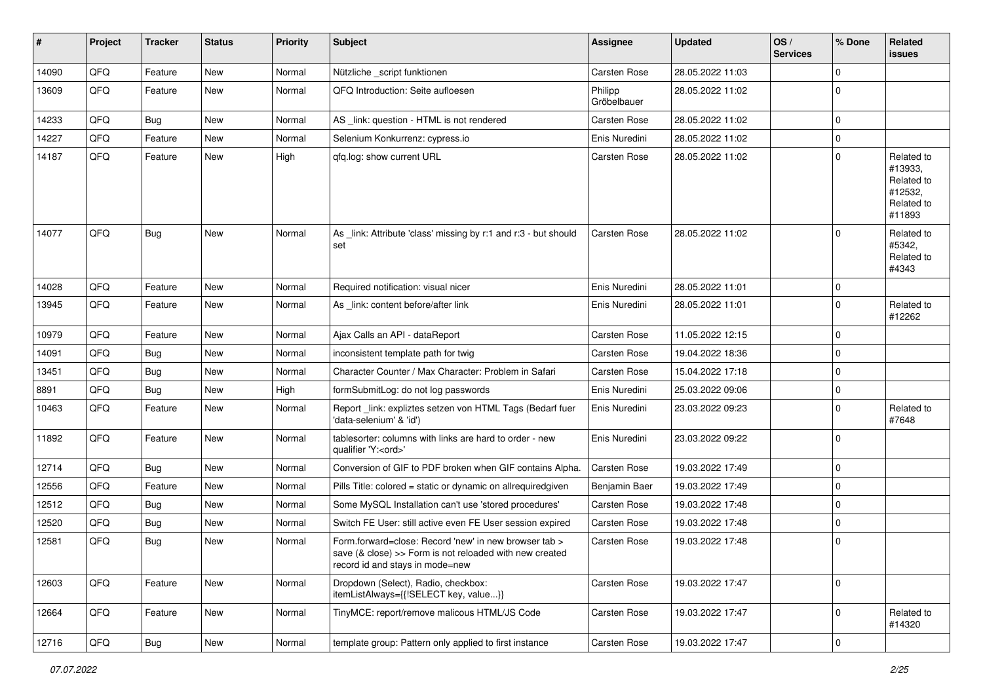| #     | Project | <b>Tracker</b> | <b>Status</b> | <b>Priority</b> | <b>Subject</b>                                                                                                                                      | <b>Assignee</b>        | <b>Updated</b>   | OS/<br><b>Services</b> | % Done      | Related<br>issues                                                      |
|-------|---------|----------------|---------------|-----------------|-----------------------------------------------------------------------------------------------------------------------------------------------------|------------------------|------------------|------------------------|-------------|------------------------------------------------------------------------|
| 14090 | QFQ     | Feature        | New           | Normal          | Nützliche _script funktionen                                                                                                                        | Carsten Rose           | 28.05.2022 11:03 |                        | $\Omega$    |                                                                        |
| 13609 | QFQ     | Feature        | New           | Normal          | QFQ Introduction: Seite aufloesen                                                                                                                   | Philipp<br>Gröbelbauer | 28.05.2022 11:02 |                        | $\mathbf 0$ |                                                                        |
| 14233 | QFQ     | Bug            | New           | Normal          | AS _link: question - HTML is not rendered                                                                                                           | Carsten Rose           | 28.05.2022 11:02 |                        | $\mathbf 0$ |                                                                        |
| 14227 | QFQ     | Feature        | New           | Normal          | Selenium Konkurrenz: cypress.io                                                                                                                     | Enis Nuredini          | 28.05.2022 11:02 |                        | $\pmb{0}$   |                                                                        |
| 14187 | QFQ     | Feature        | New           | High            | qfq.log: show current URL                                                                                                                           | <b>Carsten Rose</b>    | 28.05.2022 11:02 |                        | $\Omega$    | Related to<br>#13933,<br>Related to<br>#12532,<br>Related to<br>#11893 |
| 14077 | QFQ     | Bug            | New           | Normal          | As _link: Attribute 'class' missing by r:1 and r:3 - but should<br>set                                                                              | Carsten Rose           | 28.05.2022 11:02 |                        | $\Omega$    | Related to<br>#5342,<br>Related to<br>#4343                            |
| 14028 | QFQ     | Feature        | New           | Normal          | Required notification: visual nicer                                                                                                                 | Enis Nuredini          | 28.05.2022 11:01 |                        | $\mathbf 0$ |                                                                        |
| 13945 | QFQ     | Feature        | New           | Normal          | As link: content before/after link                                                                                                                  | Enis Nuredini          | 28.05.2022 11:01 |                        | $\mathbf 0$ | Related to<br>#12262                                                   |
| 10979 | QFQ     | Feature        | New           | Normal          | Ajax Calls an API - dataReport                                                                                                                      | Carsten Rose           | 11.05.2022 12:15 |                        | $\mathbf 0$ |                                                                        |
| 14091 | QFQ     | <b>Bug</b>     | New           | Normal          | inconsistent template path for twig                                                                                                                 | <b>Carsten Rose</b>    | 19.04.2022 18:36 |                        | $\mathbf 0$ |                                                                        |
| 13451 | QFQ     | <b>Bug</b>     | <b>New</b>    | Normal          | Character Counter / Max Character: Problem in Safari                                                                                                | <b>Carsten Rose</b>    | 15.04.2022 17:18 |                        | $\pmb{0}$   |                                                                        |
| 8891  | QFQ     | <b>Bug</b>     | <b>New</b>    | High            | formSubmitLog: do not log passwords                                                                                                                 | Enis Nuredini          | 25.03.2022 09:06 |                        | $\mathbf 0$ |                                                                        |
| 10463 | QFQ     | Feature        | New           | Normal          | Report_link: expliztes setzen von HTML Tags (Bedarf fuer<br>'data-selenium' & 'id')                                                                 | Enis Nuredini          | 23.03.2022 09:23 |                        | $\mathbf 0$ | Related to<br>#7648                                                    |
| 11892 | QFQ     | Feature        | <b>New</b>    | Normal          | tablesorter: columns with links are hard to order - new<br>qualifier 'Y: <ord>'</ord>                                                               | Enis Nuredini          | 23.03.2022 09:22 |                        | $\mathbf 0$ |                                                                        |
| 12714 | QFQ     | Bug            | New           | Normal          | Conversion of GIF to PDF broken when GIF contains Alpha.                                                                                            | Carsten Rose           | 19.03.2022 17:49 |                        | $\mathbf 0$ |                                                                        |
| 12556 | QFQ     | Feature        | <b>New</b>    | Normal          | Pills Title: colored = static or dynamic on allrequiredgiven                                                                                        | Benjamin Baer          | 19.03.2022 17:49 |                        | $\mathbf 0$ |                                                                        |
| 12512 | QFQ     | <b>Bug</b>     | New           | Normal          | Some MySQL Installation can't use 'stored procedures'                                                                                               | Carsten Rose           | 19.03.2022 17:48 |                        | $\pmb{0}$   |                                                                        |
| 12520 | QFQ     | <b>Bug</b>     | New           | Normal          | Switch FE User: still active even FE User session expired                                                                                           | Carsten Rose           | 19.03.2022 17:48 |                        | $\mathbf 0$ |                                                                        |
| 12581 | QFQ     | Bug            | New           | Normal          | Form.forward=close: Record 'new' in new browser tab ><br>save (& close) >> Form is not reloaded with new created<br>record id and stays in mode=new | Carsten Rose           | 19.03.2022 17:48 |                        | 0           |                                                                        |
| 12603 | QFQ     | Feature        | New           | Normal          | Dropdown (Select), Radio, checkbox:<br>itemListAlways={{!SELECT key, value}}                                                                        | Carsten Rose           | 19.03.2022 17:47 |                        | $\mathbf 0$ |                                                                        |
| 12664 | QFQ     | Feature        | New           | Normal          | TinyMCE: report/remove malicous HTML/JS Code                                                                                                        | Carsten Rose           | 19.03.2022 17:47 |                        | $\mathbf 0$ | Related to<br>#14320                                                   |
| 12716 | QFQ     | Bug            | New           | Normal          | template group: Pattern only applied to first instance                                                                                              | Carsten Rose           | 19.03.2022 17:47 |                        | $\pmb{0}$   |                                                                        |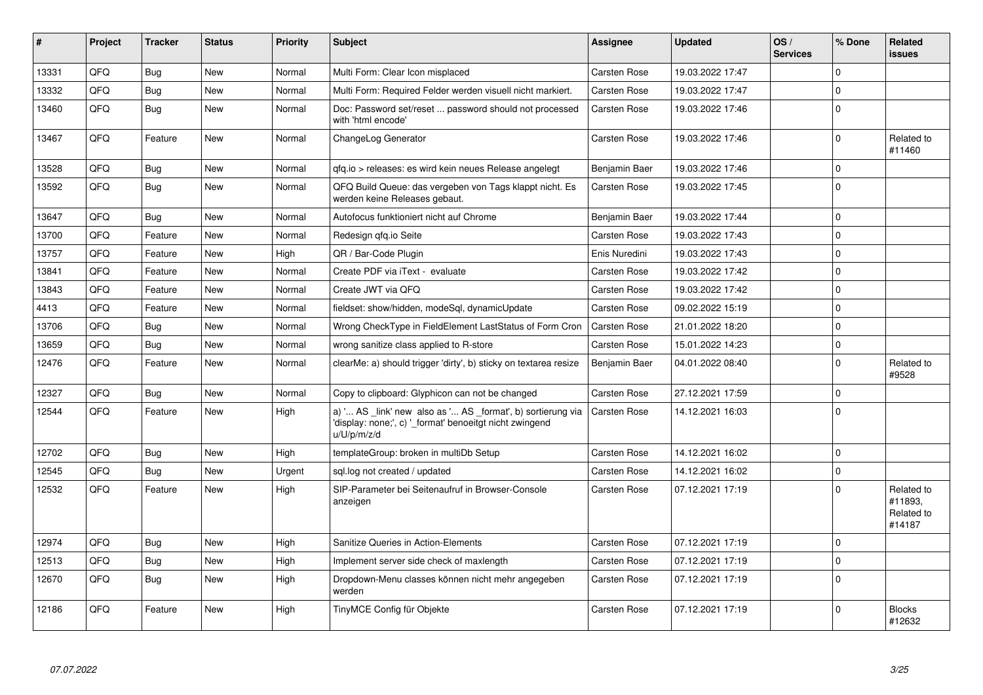| #     | Project | <b>Tracker</b> | <b>Status</b> | <b>Priority</b> | <b>Subject</b>                                                                                                                        | Assignee            | <b>Updated</b>   | OS/<br><b>Services</b> | % Done      | <b>Related</b><br><b>issues</b>               |
|-------|---------|----------------|---------------|-----------------|---------------------------------------------------------------------------------------------------------------------------------------|---------------------|------------------|------------------------|-------------|-----------------------------------------------|
| 13331 | QFQ     | Bug            | <b>New</b>    | Normal          | Multi Form: Clear Icon misplaced                                                                                                      | Carsten Rose        | 19.03.2022 17:47 |                        | $\Omega$    |                                               |
| 13332 | QFQ     | <b>Bug</b>     | <b>New</b>    | Normal          | Multi Form: Required Felder werden visuell nicht markiert.                                                                            | Carsten Rose        | 19.03.2022 17:47 |                        | $\pmb{0}$   |                                               |
| 13460 | QFQ     | Bug            | <b>New</b>    | Normal          | Doc: Password set/reset  password should not processed<br>with 'html encode'                                                          | Carsten Rose        | 19.03.2022 17:46 |                        | $\mathbf 0$ |                                               |
| 13467 | QFQ     | Feature        | <b>New</b>    | Normal          | ChangeLog Generator                                                                                                                   | <b>Carsten Rose</b> | 19.03.2022 17:46 |                        | $\pmb{0}$   | Related to<br>#11460                          |
| 13528 | QFQ     | Bug            | <b>New</b>    | Normal          | gfg.io > releases: es wird kein neues Release angelegt                                                                                | Benjamin Baer       | 19.03.2022 17:46 |                        | $\Omega$    |                                               |
| 13592 | QFQ     | Bug            | <b>New</b>    | Normal          | QFQ Build Queue: das vergeben von Tags klappt nicht. Es<br>werden keine Releases gebaut.                                              | Carsten Rose        | 19.03.2022 17:45 |                        | $\Omega$    |                                               |
| 13647 | QFQ     | Bug            | <b>New</b>    | Normal          | Autofocus funktioniert nicht auf Chrome                                                                                               | Benjamin Baer       | 19.03.2022 17:44 |                        | $\Omega$    |                                               |
| 13700 | QFQ     | Feature        | <b>New</b>    | Normal          | Redesign qfq.io Seite                                                                                                                 | Carsten Rose        | 19.03.2022 17:43 |                        | $\mathbf 0$ |                                               |
| 13757 | QFQ     | Feature        | <b>New</b>    | High            | QR / Bar-Code Plugin                                                                                                                  | Enis Nuredini       | 19.03.2022 17:43 |                        | $\mathbf 0$ |                                               |
| 13841 | QFQ     | Feature        | New           | Normal          | Create PDF via iText - evaluate                                                                                                       | <b>Carsten Rose</b> | 19.03.2022 17:42 |                        | $\mathbf 0$ |                                               |
| 13843 | QFQ     | Feature        | <b>New</b>    | Normal          | Create JWT via QFQ                                                                                                                    | Carsten Rose        | 19.03.2022 17:42 |                        | $\mathbf 0$ |                                               |
| 4413  | QFQ     | Feature        | <b>New</b>    | Normal          | fieldset: show/hidden, modeSql, dynamicUpdate                                                                                         | Carsten Rose        | 09.02.2022 15:19 |                        | $\mathbf 0$ |                                               |
| 13706 | QFQ     | Bug            | New           | Normal          | Wrong CheckType in FieldElement LastStatus of Form Cron                                                                               | Carsten Rose        | 21.01.2022 18:20 |                        | $\mathbf 0$ |                                               |
| 13659 | QFQ     | Bug            | <b>New</b>    | Normal          | wrong sanitize class applied to R-store                                                                                               | Carsten Rose        | 15.01.2022 14:23 |                        | $\mathbf 0$ |                                               |
| 12476 | QFQ     | Feature        | <b>New</b>    | Normal          | clearMe: a) should trigger 'dirty', b) sticky on textarea resize                                                                      | Benjamin Baer       | 04.01.2022 08:40 |                        | $\mathbf 0$ | Related to<br>#9528                           |
| 12327 | QFQ     | Bug            | <b>New</b>    | Normal          | Copy to clipboard: Glyphicon can not be changed                                                                                       | Carsten Rose        | 27.12.2021 17:59 |                        | $\mathbf 0$ |                                               |
| 12544 | QFQ     | Feature        | <b>New</b>    | High            | a) ' AS _link' new also as ' AS _format', b) sortierung via<br>'display: none;', c) '_format' benoeitgt nicht zwingend<br>u/U/p/m/z/d | Carsten Rose        | 14.12.2021 16:03 |                        | $\Omega$    |                                               |
| 12702 | QFQ     | Bug            | <b>New</b>    | High            | templateGroup: broken in multiDb Setup                                                                                                | Carsten Rose        | 14.12.2021 16:02 |                        | $\mathbf 0$ |                                               |
| 12545 | QFQ     | Bug            | <b>New</b>    | Urgent          | sql.log not created / updated                                                                                                         | Carsten Rose        | 14.12.2021 16:02 |                        | $\Omega$    |                                               |
| 12532 | QFQ     | Feature        | New           | High            | SIP-Parameter bei Seitenaufruf in Browser-Console<br>anzeigen                                                                         | Carsten Rose        | 07.12.2021 17:19 |                        | $\Omega$    | Related to<br>#11893.<br>Related to<br>#14187 |
| 12974 | QFQ     | Bug            | <b>New</b>    | High            | Sanitize Queries in Action-Elements                                                                                                   | Carsten Rose        | 07.12.2021 17:19 |                        | $\mathbf 0$ |                                               |
| 12513 | QFQ     | <b>Bug</b>     | <b>New</b>    | High            | Implement server side check of maxlength                                                                                              | Carsten Rose        | 07.12.2021 17:19 |                        | $\mathbf 0$ |                                               |
| 12670 | QFQ     | Bug            | <b>New</b>    | High            | Dropdown-Menu classes können nicht mehr angegeben<br>werden                                                                           | Carsten Rose        | 07.12.2021 17:19 |                        | $\Omega$    |                                               |
| 12186 | QFQ     | Feature        | <b>New</b>    | High            | TinyMCE Config für Objekte                                                                                                            | Carsten Rose        | 07.12.2021 17:19 |                        | $\Omega$    | <b>Blocks</b><br>#12632                       |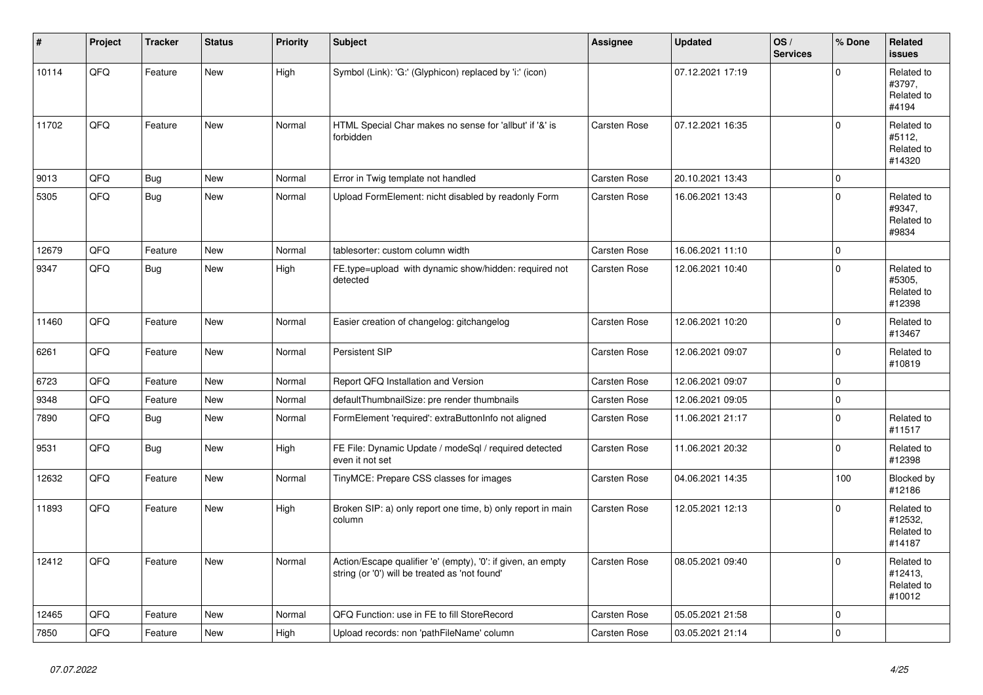| #     | Project | <b>Tracker</b> | <b>Status</b> | <b>Priority</b> | <b>Subject</b>                                                                                                 | <b>Assignee</b>     | <b>Updated</b>   | OS/<br><b>Services</b> | % Done      | Related<br><b>issues</b>                      |
|-------|---------|----------------|---------------|-----------------|----------------------------------------------------------------------------------------------------------------|---------------------|------------------|------------------------|-------------|-----------------------------------------------|
| 10114 | QFQ     | Feature        | New           | High            | Symbol (Link): 'G:' (Glyphicon) replaced by 'i:' (icon)                                                        |                     | 07.12.2021 17:19 |                        | $\Omega$    | Related to<br>#3797,<br>Related to<br>#4194   |
| 11702 | QFQ     | Feature        | <b>New</b>    | Normal          | HTML Special Char makes no sense for 'allbut' if '&' is<br>forbidden                                           | Carsten Rose        | 07.12.2021 16:35 |                        | $\Omega$    | Related to<br>#5112,<br>Related to<br>#14320  |
| 9013  | QFQ     | Bug            | <b>New</b>    | Normal          | Error in Twig template not handled                                                                             | <b>Carsten Rose</b> | 20.10.2021 13:43 |                        | $\mathbf 0$ |                                               |
| 5305  | QFQ     | Bug            | <b>New</b>    | Normal          | Upload FormElement: nicht disabled by readonly Form                                                            | Carsten Rose        | 16.06.2021 13:43 |                        | $\Omega$    | Related to<br>#9347.<br>Related to<br>#9834   |
| 12679 | QFQ     | Feature        | <b>New</b>    | Normal          | tablesorter: custom column width                                                                               | <b>Carsten Rose</b> | 16.06.2021 11:10 |                        | $\mathbf 0$ |                                               |
| 9347  | QFQ     | <b>Bug</b>     | <b>New</b>    | High            | FE.type=upload with dynamic show/hidden: required not<br>detected                                              | <b>Carsten Rose</b> | 12.06.2021 10:40 |                        | $\mathbf 0$ | Related to<br>#5305,<br>Related to<br>#12398  |
| 11460 | QFQ     | Feature        | <b>New</b>    | Normal          | Easier creation of changelog: gitchangelog                                                                     | <b>Carsten Rose</b> | 12.06.2021 10:20 |                        | $\Omega$    | Related to<br>#13467                          |
| 6261  | QFQ     | Feature        | New           | Normal          | Persistent SIP                                                                                                 | <b>Carsten Rose</b> | 12.06.2021 09:07 |                        | $\mathbf 0$ | Related to<br>#10819                          |
| 6723  | QFQ     | Feature        | <b>New</b>    | Normal          | Report QFQ Installation and Version                                                                            | <b>Carsten Rose</b> | 12.06.2021 09:07 |                        | $\mathbf 0$ |                                               |
| 9348  | QFQ     | Feature        | <b>New</b>    | Normal          | defaultThumbnailSize: pre render thumbnails                                                                    | Carsten Rose        | 12.06.2021 09:05 |                        | $\mathbf 0$ |                                               |
| 7890  | QFQ     | Bug            | New           | Normal          | FormElement 'required': extraButtonInfo not aligned                                                            | <b>Carsten Rose</b> | 11.06.2021 21:17 |                        | $\mathbf 0$ | Related to<br>#11517                          |
| 9531  | QFQ     | <b>Bug</b>     | <b>New</b>    | High            | FE File: Dynamic Update / modeSql / required detected<br>even it not set                                       | Carsten Rose        | 11.06.2021 20:32 |                        | $\Omega$    | Related to<br>#12398                          |
| 12632 | QFQ     | Feature        | <b>New</b>    | Normal          | TinyMCE: Prepare CSS classes for images                                                                        | Carsten Rose        | 04.06.2021 14:35 |                        | 100         | Blocked by<br>#12186                          |
| 11893 | QFQ     | Feature        | New           | High            | Broken SIP: a) only report one time, b) only report in main<br>column                                          | <b>Carsten Rose</b> | 12.05.2021 12:13 |                        | $\mathbf 0$ | Related to<br>#12532,<br>Related to<br>#14187 |
| 12412 | QFQ     | Feature        | <b>New</b>    | Normal          | Action/Escape qualifier 'e' (empty), '0': if given, an empty<br>string (or '0') will be treated as 'not found' | Carsten Rose        | 08.05.2021 09:40 |                        | $\Omega$    | Related to<br>#12413.<br>Related to<br>#10012 |
| 12465 | QFQ     | Feature        | <b>New</b>    | Normal          | QFQ Function: use in FE to fill StoreRecord                                                                    | Carsten Rose        | 05.05.2021 21:58 |                        | $\mathbf 0$ |                                               |
| 7850  | QFQ     | Feature        | <b>New</b>    | High            | Upload records: non 'pathFileName' column                                                                      | <b>Carsten Rose</b> | 03.05.2021 21:14 |                        | $\mathbf 0$ |                                               |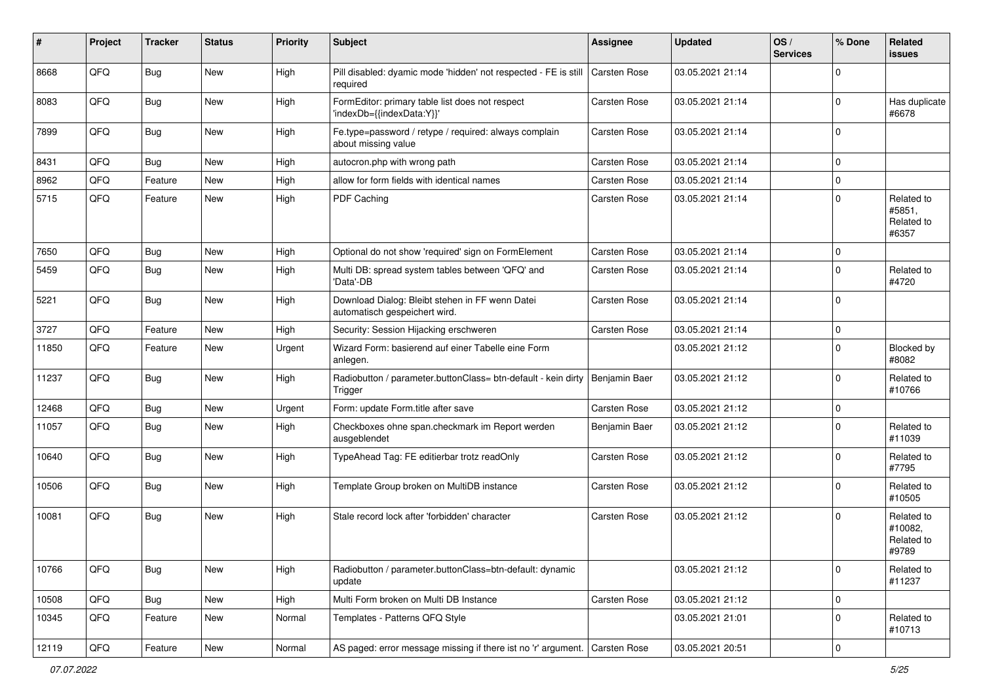| #     | Project | <b>Tracker</b> | <b>Status</b> | <b>Priority</b> | <b>Subject</b>                                                                   | <b>Assignee</b> | <b>Updated</b>   | OS/<br><b>Services</b> | % Done      | Related<br><b>issues</b>                     |
|-------|---------|----------------|---------------|-----------------|----------------------------------------------------------------------------------|-----------------|------------------|------------------------|-------------|----------------------------------------------|
| 8668  | QFQ     | Bug            | New           | High            | Pill disabled: dyamic mode 'hidden' not respected - FE is still<br>required      | Carsten Rose    | 03.05.2021 21:14 |                        | $\Omega$    |                                              |
| 8083  | QFQ     | Bug            | New           | High            | FormEditor: primary table list does not respect<br>'indexDb={{indexData:Y}}'     | Carsten Rose    | 03.05.2021 21:14 |                        | $\Omega$    | Has duplicate<br>#6678                       |
| 7899  | QFQ     | Bug            | New           | High            | Fe.type=password / retype / required: always complain<br>about missing value     | Carsten Rose    | 03.05.2021 21:14 |                        | $\Omega$    |                                              |
| 8431  | QFQ     | Bug            | <b>New</b>    | High            | autocron.php with wrong path                                                     | Carsten Rose    | 03.05.2021 21:14 |                        | $\mathbf 0$ |                                              |
| 8962  | QFQ     | Feature        | <b>New</b>    | High            | allow for form fields with identical names                                       | Carsten Rose    | 03.05.2021 21:14 |                        | $\mathbf 0$ |                                              |
| 5715  | QFQ     | Feature        | <b>New</b>    | High            | PDF Caching                                                                      | Carsten Rose    | 03.05.2021 21:14 |                        | $\Omega$    | Related to<br>#5851,<br>Related to<br>#6357  |
| 7650  | QFQ     | Bug            | New           | High            | Optional do not show 'required' sign on FormElement                              | Carsten Rose    | 03.05.2021 21:14 |                        | $\mathbf 0$ |                                              |
| 5459  | QFQ     | <b>Bug</b>     | <b>New</b>    | High            | Multi DB: spread system tables between 'QFQ' and<br>'Data'-DB                    | Carsten Rose    | 03.05.2021 21:14 |                        | $\mathbf 0$ | Related to<br>#4720                          |
| 5221  | QFQ     | Bug            | New           | High            | Download Dialog: Bleibt stehen in FF wenn Datei<br>automatisch gespeichert wird. | Carsten Rose    | 03.05.2021 21:14 |                        | $\Omega$    |                                              |
| 3727  | QFQ     | Feature        | New           | High            | Security: Session Hijacking erschweren                                           | Carsten Rose    | 03.05.2021 21:14 |                        | $\mathbf 0$ |                                              |
| 11850 | QFQ     | Feature        | New           | Urgent          | Wizard Form: basierend auf einer Tabelle eine Form<br>anlegen.                   |                 | 03.05.2021 21:12 |                        | $\Omega$    | Blocked by<br>#8082                          |
| 11237 | QFQ     | Bug            | <b>New</b>    | High            | Radiobutton / parameter.buttonClass= btn-default - kein dirty<br>Trigger         | Benjamin Baer   | 03.05.2021 21:12 |                        | $\mathbf 0$ | Related to<br>#10766                         |
| 12468 | QFQ     | Bug            | New           | Urgent          | Form: update Form.title after save                                               | Carsten Rose    | 03.05.2021 21:12 |                        | $\mathbf 0$ |                                              |
| 11057 | QFQ     | Bug            | New           | High            | Checkboxes ohne span.checkmark im Report werden<br>ausgeblendet                  | Benjamin Baer   | 03.05.2021 21:12 |                        | $\Omega$    | Related to<br>#11039                         |
| 10640 | QFQ     | Bug            | New           | High            | TypeAhead Tag: FE editierbar trotz readOnly                                      | Carsten Rose    | 03.05.2021 21:12 |                        | $\Omega$    | Related to<br>#7795                          |
| 10506 | QFQ     | Bug            | New           | High            | Template Group broken on MultiDB instance                                        | Carsten Rose    | 03.05.2021 21:12 |                        | $\Omega$    | Related to<br>#10505                         |
| 10081 | QFQ     | Bug            | New           | High            | Stale record lock after 'forbidden' character                                    | Carsten Rose    | 03.05.2021 21:12 |                        | $\Omega$    | Related to<br>#10082,<br>Related to<br>#9789 |
| 10766 | QFQ     | Bug            | New           | High            | Radiobutton / parameter.buttonClass=btn-default: dynamic<br>update               |                 | 03.05.2021 21:12 |                        | $\mathbf 0$ | Related to<br>#11237                         |
| 10508 | QFQ     | Bug            | New           | High            | Multi Form broken on Multi DB Instance                                           | Carsten Rose    | 03.05.2021 21:12 |                        | 0           |                                              |
| 10345 | QFQ     | Feature        | New           | Normal          | Templates - Patterns QFQ Style                                                   |                 | 03.05.2021 21:01 |                        | $\mathbf 0$ | Related to<br>#10713                         |
| 12119 | QFQ     | Feature        | New           | Normal          | AS paged: error message missing if there ist no 'r' argument.                    | Carsten Rose    | 03.05.2021 20:51 |                        | 0           |                                              |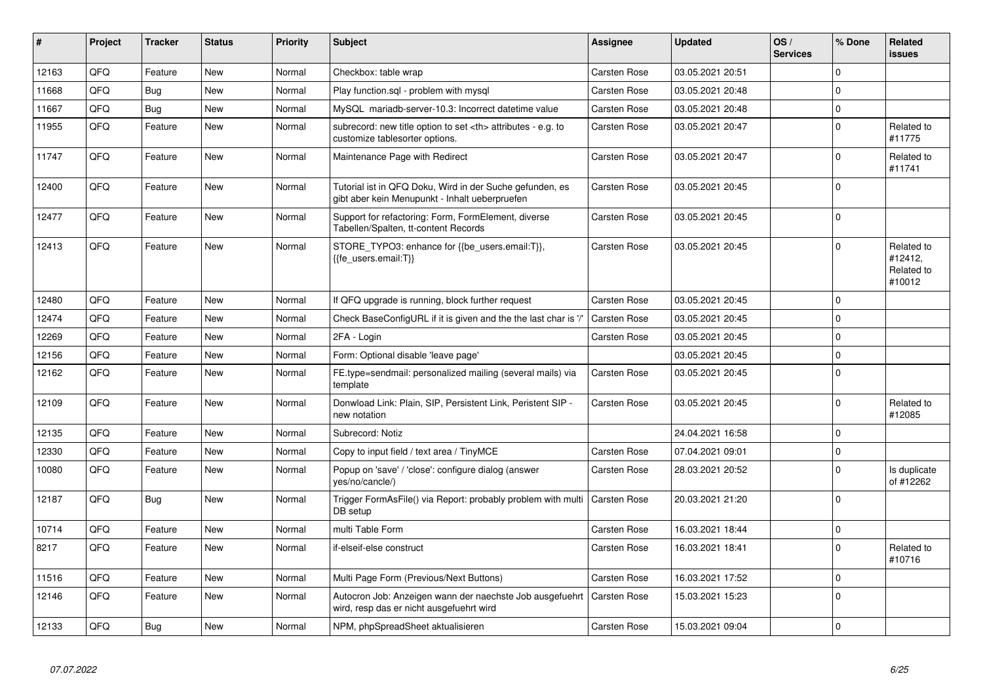| $\pmb{\sharp}$ | Project | <b>Tracker</b> | <b>Status</b> | <b>Priority</b> | <b>Subject</b>                                                                                             | <b>Assignee</b>                                        | <b>Updated</b>   | OS/<br><b>Services</b> | % Done      | Related<br>issues                             |                      |
|----------------|---------|----------------|---------------|-----------------|------------------------------------------------------------------------------------------------------------|--------------------------------------------------------|------------------|------------------------|-------------|-----------------------------------------------|----------------------|
| 12163          | QFQ     | Feature        | <b>New</b>    | Normal          | Checkbox: table wrap                                                                                       | Carsten Rose                                           | 03.05.2021 20:51 |                        | $\Omega$    |                                               |                      |
| 11668          | QFQ     | <b>Bug</b>     | <b>New</b>    | Normal          | Play function.sql - problem with mysql                                                                     | <b>Carsten Rose</b>                                    | 03.05.2021 20:48 |                        | $\Omega$    |                                               |                      |
| 11667          | QFQ     | Bug            | <b>New</b>    | Normal          | MySQL mariadb-server-10.3: Incorrect datetime value                                                        | Carsten Rose                                           | 03.05.2021 20:48 |                        | $\pmb{0}$   |                                               |                      |
| 11955          | QFQ     | Feature        | New           | Normal          | subrecord: new title option to set <th> attributes - e.g. to<br/>customize tablesorter options.</th>       | attributes - e.g. to<br>customize tablesorter options. | Carsten Rose     | 03.05.2021 20:47       |             | $\mathbf 0$                                   | Related to<br>#11775 |
| 11747          | QFQ     | Feature        | New           | Normal          | Maintenance Page with Redirect                                                                             | Carsten Rose                                           | 03.05.2021 20:47 |                        | $\mathbf 0$ | Related to<br>#11741                          |                      |
| 12400          | QFQ     | Feature        | <b>New</b>    | Normal          | Tutorial ist in QFQ Doku, Wird in der Suche gefunden, es<br>gibt aber kein Menupunkt - Inhalt ueberpruefen | Carsten Rose                                           | 03.05.2021 20:45 |                        | $\Omega$    |                                               |                      |
| 12477          | QFQ     | Feature        | <b>New</b>    | Normal          | Support for refactoring: Form, FormElement, diverse<br>Tabellen/Spalten, tt-content Records                | Carsten Rose                                           | 03.05.2021 20:45 |                        | $\Omega$    |                                               |                      |
| 12413          | QFQ     | Feature        | New           | Normal          | STORE_TYPO3: enhance for {{be_users.email:T}},<br>{{fe users.email:T}}                                     | Carsten Rose                                           | 03.05.2021 20:45 |                        | $\Omega$    | Related to<br>#12412,<br>Related to<br>#10012 |                      |
| 12480          | QFQ     | Feature        | New           | Normal          | If QFQ upgrade is running, block further request                                                           | <b>Carsten Rose</b>                                    | 03.05.2021 20:45 |                        | $\mathbf 0$ |                                               |                      |
| 12474          | QFQ     | Feature        | New           | Normal          | Check BaseConfigURL if it is given and the the last char is '/'                                            | <b>Carsten Rose</b>                                    | 03.05.2021 20:45 |                        | $\Omega$    |                                               |                      |
| 12269          | QFQ     | Feature        | <b>New</b>    | Normal          | 2FA - Login                                                                                                | <b>Carsten Rose</b>                                    | 03.05.2021 20:45 |                        | $\mathbf 0$ |                                               |                      |
| 12156          | QFQ     | Feature        | <b>New</b>    | Normal          | Form: Optional disable 'leave page'                                                                        |                                                        | 03.05.2021 20:45 |                        | $\Omega$    |                                               |                      |
| 12162          | QFQ     | Feature        | New           | Normal          | FE.type=sendmail: personalized mailing (several mails) via<br>template                                     | Carsten Rose                                           | 03.05.2021 20:45 |                        | $\mathbf 0$ |                                               |                      |
| 12109          | QFQ     | Feature        | <b>New</b>    | Normal          | Donwload Link: Plain, SIP, Persistent Link, Peristent SIP -<br>new notation                                | Carsten Rose                                           | 03.05.2021 20:45 |                        | $\mathbf 0$ | Related to<br>#12085                          |                      |
| 12135          | QFQ     | Feature        | <b>New</b>    | Normal          | Subrecord: Notiz                                                                                           |                                                        | 24.04.2021 16:58 |                        | $\mathbf 0$ |                                               |                      |
| 12330          | QFQ     | Feature        | <b>New</b>    | Normal          | Copy to input field / text area / TinyMCE                                                                  | Carsten Rose                                           | 07.04.2021 09:01 |                        | $\pmb{0}$   |                                               |                      |
| 10080          | QFQ     | Feature        | New           | Normal          | Popup on 'save' / 'close': configure dialog (answer<br>yes/no/cancle/)                                     | <b>Carsten Rose</b>                                    | 28.03.2021 20:52 |                        | $\mathbf 0$ | Is duplicate<br>of #12262                     |                      |
| 12187          | QFQ     | <b>Bug</b>     | <b>New</b>    | Normal          | Trigger FormAsFile() via Report: probably problem with multi<br>DB setup                                   | Carsten Rose                                           | 20.03.2021 21:20 |                        | $\mathbf 0$ |                                               |                      |
| 10714          | QFQ     | Feature        | New           | Normal          | multi Table Form                                                                                           | Carsten Rose                                           | 16.03.2021 18:44 |                        | $\mathbf 0$ |                                               |                      |
| 8217           | QFQ     | Feature        | <b>New</b>    | Normal          | if-elseif-else construct                                                                                   | Carsten Rose                                           | 16.03.2021 18:41 |                        | $\Omega$    | Related to<br>#10716                          |                      |
| 11516          | QFQ     | Feature        | <b>New</b>    | Normal          | Multi Page Form (Previous/Next Buttons)                                                                    | <b>Carsten Rose</b>                                    | 16.03.2021 17:52 |                        | $\mathbf 0$ |                                               |                      |
| 12146          | QFQ     | Feature        | New           | Normal          | Autocron Job: Anzeigen wann der naechste Job ausgefuehrt<br>wird, resp das er nicht ausgefuehrt wird       | Carsten Rose                                           | 15.03.2021 15:23 |                        | $\mathbf 0$ |                                               |                      |
| 12133          | QFQ     | Bug            | New           | Normal          | NPM, phpSpreadSheet aktualisieren                                                                          | Carsten Rose                                           | 15.03.2021 09:04 |                        | $\pmb{0}$   |                                               |                      |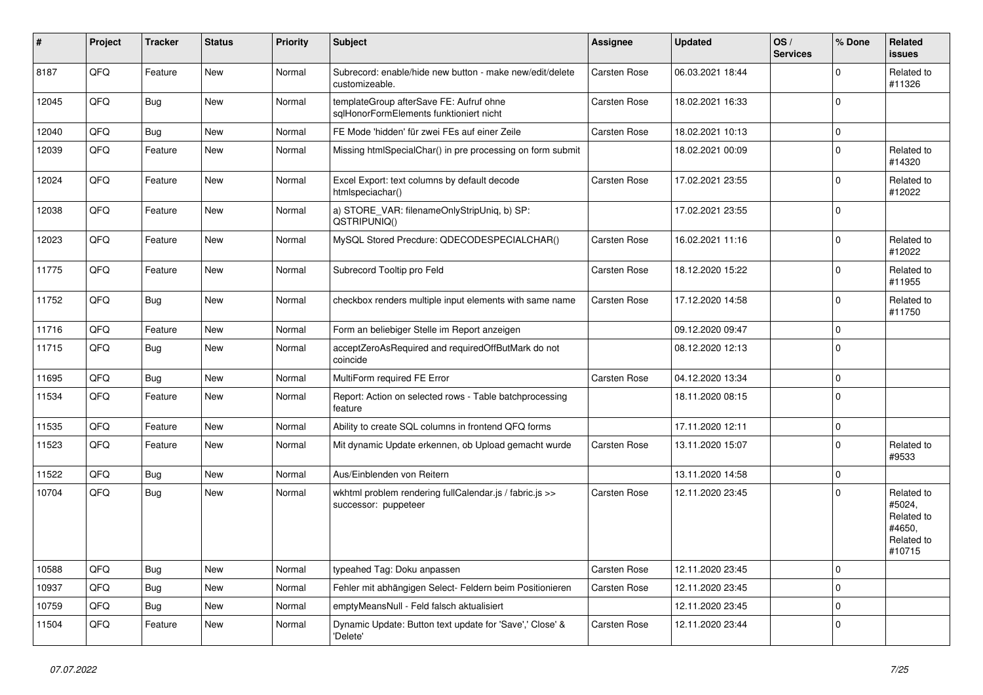| $\vert$ # | Project | <b>Tracker</b> | <b>Status</b> | <b>Priority</b> | <b>Subject</b>                                                                     | <b>Assignee</b>     | <b>Updated</b>   | OS/<br><b>Services</b> | % Done      | Related<br><b>issues</b>                                             |
|-----------|---------|----------------|---------------|-----------------|------------------------------------------------------------------------------------|---------------------|------------------|------------------------|-------------|----------------------------------------------------------------------|
| 8187      | QFQ     | Feature        | <b>New</b>    | Normal          | Subrecord: enable/hide new button - make new/edit/delete<br>customizeable.         | Carsten Rose        | 06.03.2021 18:44 |                        | $\Omega$    | Related to<br>#11326                                                 |
| 12045     | QFQ     | Bug            | <b>New</b>    | Normal          | templateGroup afterSave FE: Aufruf ohne<br>sqlHonorFormElements funktioniert nicht | Carsten Rose        | 18.02.2021 16:33 |                        | $\mathbf 0$ |                                                                      |
| 12040     | QFQ     | Bug            | <b>New</b>    | Normal          | FE Mode 'hidden' für zwei FEs auf einer Zeile                                      | Carsten Rose        | 18.02.2021 10:13 |                        | $\Omega$    |                                                                      |
| 12039     | QFQ     | Feature        | New           | Normal          | Missing htmlSpecialChar() in pre processing on form submit                         |                     | 18.02.2021 00:09 |                        | $\Omega$    | Related to<br>#14320                                                 |
| 12024     | QFQ     | Feature        | <b>New</b>    | Normal          | Excel Export: text columns by default decode<br>htmlspeciachar()                   | Carsten Rose        | 17.02.2021 23:55 |                        | $\Omega$    | Related to<br>#12022                                                 |
| 12038     | QFQ     | Feature        | New           | Normal          | a) STORE VAR: filenameOnlyStripUniq, b) SP:<br>QSTRIPUNIQ()                        |                     | 17.02.2021 23:55 |                        | $\mathbf 0$ |                                                                      |
| 12023     | QFQ     | Feature        | <b>New</b>    | Normal          | MySQL Stored Precdure: QDECODESPECIALCHAR()                                        | Carsten Rose        | 16.02.2021 11:16 |                        | $\mathbf 0$ | Related to<br>#12022                                                 |
| 11775     | QFQ     | Feature        | <b>New</b>    | Normal          | Subrecord Tooltip pro Feld                                                         | Carsten Rose        | 18.12.2020 15:22 |                        | $\mathbf 0$ | Related to<br>#11955                                                 |
| 11752     | QFQ     | <b>Bug</b>     | New           | Normal          | checkbox renders multiple input elements with same name                            | Carsten Rose        | 17.12.2020 14:58 |                        | $\Omega$    | Related to<br>#11750                                                 |
| 11716     | QFQ     | Feature        | <b>New</b>    | Normal          | Form an beliebiger Stelle im Report anzeigen                                       |                     | 09.12.2020 09:47 |                        | $\mathbf 0$ |                                                                      |
| 11715     | QFQ     | <b>Bug</b>     | <b>New</b>    | Normal          | acceptZeroAsRequired and requiredOffButMark do not<br>coincide                     |                     | 08.12.2020 12:13 |                        | $\Omega$    |                                                                      |
| 11695     | QFQ     | Bug            | New           | Normal          | MultiForm required FE Error                                                        | Carsten Rose        | 04.12.2020 13:34 |                        | $\pmb{0}$   |                                                                      |
| 11534     | QFQ     | Feature        | <b>New</b>    | Normal          | Report: Action on selected rows - Table batchprocessing<br>feature                 |                     | 18.11.2020 08:15 |                        | $\mathbf 0$ |                                                                      |
| 11535     | QFQ     | Feature        | <b>New</b>    | Normal          | Ability to create SQL columns in frontend QFQ forms                                |                     | 17.11.2020 12:11 |                        | $\pmb{0}$   |                                                                      |
| 11523     | QFQ     | Feature        | <b>New</b>    | Normal          | Mit dynamic Update erkennen, ob Upload gemacht wurde                               | Carsten Rose        | 13.11.2020 15:07 |                        | $\mathbf 0$ | Related to<br>#9533                                                  |
| 11522     | QFQ     | <b>Bug</b>     | <b>New</b>    | Normal          | Aus/Einblenden von Reitern                                                         |                     | 13.11.2020 14:58 |                        | $\pmb{0}$   |                                                                      |
| 10704     | QFQ     | Bug            | New           | Normal          | wkhtml problem rendering fullCalendar.js / fabric.js >><br>successor: puppeteer    | <b>Carsten Rose</b> | 12.11.2020 23:45 |                        | $\Omega$    | Related to<br>#5024,<br>Related to<br>#4650.<br>Related to<br>#10715 |
| 10588     | QFQ     | <b>Bug</b>     | <b>New</b>    | Normal          | typeahed Tag: Doku anpassen                                                        | <b>Carsten Rose</b> | 12.11.2020 23:45 |                        | $\Omega$    |                                                                      |
| 10937     | QFQ     | <b>Bug</b>     | <b>New</b>    | Normal          | Fehler mit abhängigen Select- Feldern beim Positionieren                           | Carsten Rose        | 12.11.2020 23:45 |                        | $\Omega$    |                                                                      |
| 10759     | QFQ     | Bug            | <b>New</b>    | Normal          | emptyMeansNull - Feld falsch aktualisiert                                          |                     | 12.11.2020 23:45 |                        | $\pmb{0}$   |                                                                      |
| 11504     | QFQ     | Feature        | New           | Normal          | Dynamic Update: Button text update for 'Save',' Close' &<br>'Delete'               | Carsten Rose        | 12.11.2020 23:44 |                        | $\mathbf 0$ |                                                                      |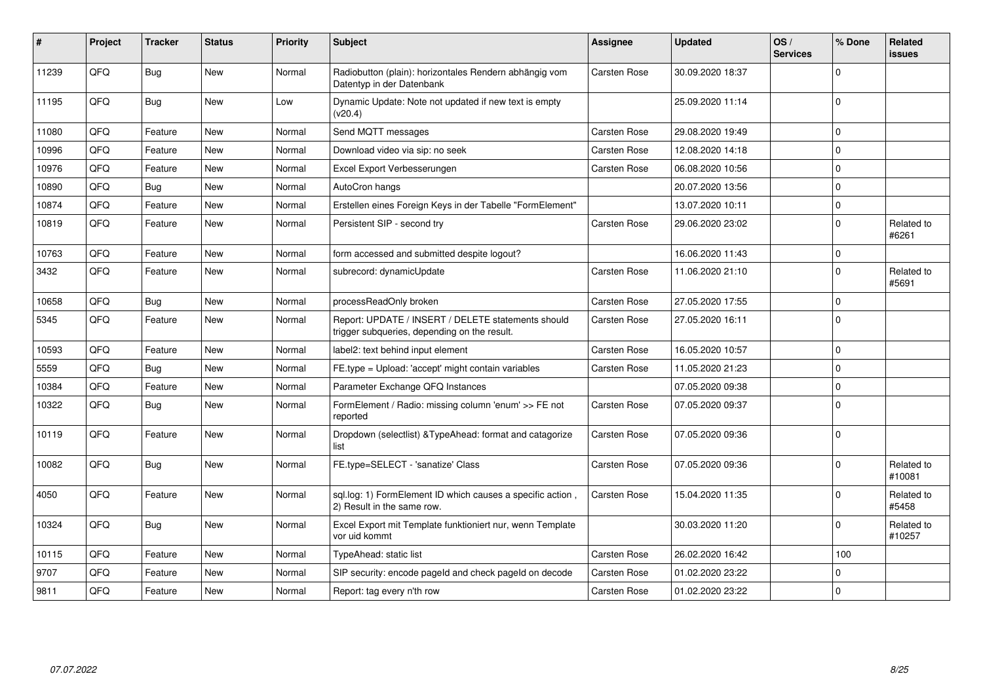| ∦     | Project | <b>Tracker</b> | <b>Status</b> | <b>Priority</b> | Subject                                                                                            | <b>Assignee</b> | <b>Updated</b>   | OS/<br><b>Services</b> | % Done      | Related<br><b>issues</b> |
|-------|---------|----------------|---------------|-----------------|----------------------------------------------------------------------------------------------------|-----------------|------------------|------------------------|-------------|--------------------------|
| 11239 | QFQ     | Bug            | <b>New</b>    | Normal          | Radiobutton (plain): horizontales Rendern abhängig vom<br>Datentyp in der Datenbank                | Carsten Rose    | 30.09.2020 18:37 |                        | $\Omega$    |                          |
| 11195 | QFQ     | Bug            | New           | Low             | Dynamic Update: Note not updated if new text is empty<br>(v20.4)                                   |                 | 25.09.2020 11:14 |                        | $\Omega$    |                          |
| 11080 | QFQ     | Feature        | <b>New</b>    | Normal          | Send MQTT messages                                                                                 | Carsten Rose    | 29.08.2020 19:49 |                        | $\Omega$    |                          |
| 10996 | QFQ     | Feature        | <b>New</b>    | Normal          | Download video via sip: no seek                                                                    | Carsten Rose    | 12.08.2020 14:18 |                        | $\Omega$    |                          |
| 10976 | QFQ     | Feature        | <b>New</b>    | Normal          | Excel Export Verbesserungen                                                                        | Carsten Rose    | 06.08.2020 10:56 |                        | $\Omega$    |                          |
| 10890 | QFQ     | Bug            | <b>New</b>    | Normal          | AutoCron hangs                                                                                     |                 | 20.07.2020 13:56 |                        | $\Omega$    |                          |
| 10874 | QFQ     | Feature        | <b>New</b>    | Normal          | Erstellen eines Foreign Keys in der Tabelle "FormElement"                                          |                 | 13.07.2020 10:11 |                        | $\Omega$    |                          |
| 10819 | QFQ     | Feature        | <b>New</b>    | Normal          | Persistent SIP - second try                                                                        | Carsten Rose    | 29.06.2020 23:02 |                        | $\Omega$    | Related to<br>#6261      |
| 10763 | QFQ     | Feature        | New           | Normal          | form accessed and submitted despite logout?                                                        |                 | 16.06.2020 11:43 |                        | $\Omega$    |                          |
| 3432  | QFQ     | Feature        | New           | Normal          | subrecord: dynamicUpdate                                                                           | Carsten Rose    | 11.06.2020 21:10 |                        | $\Omega$    | Related to<br>#5691      |
| 10658 | QFQ     | <b>Bug</b>     | New           | Normal          | processReadOnly broken                                                                             | Carsten Rose    | 27.05.2020 17:55 |                        | $\mathbf 0$ |                          |
| 5345  | QFQ     | Feature        | <b>New</b>    | Normal          | Report: UPDATE / INSERT / DELETE statements should<br>trigger subqueries, depending on the result. | Carsten Rose    | 27.05.2020 16:11 |                        | $\Omega$    |                          |
| 10593 | QFQ     | Feature        | <b>New</b>    | Normal          | label2: text behind input element                                                                  | Carsten Rose    | 16.05.2020 10:57 |                        | $\Omega$    |                          |
| 5559  | QFQ     | Bug            | <b>New</b>    | Normal          | FE.type = Upload: 'accept' might contain variables                                                 | Carsten Rose    | 11.05.2020 21:23 |                        | $\Omega$    |                          |
| 10384 | QFQ     | Feature        | <b>New</b>    | Normal          | Parameter Exchange QFQ Instances                                                                   |                 | 07.05.2020 09:38 |                        | $\Omega$    |                          |
| 10322 | QFQ     | Bug            | <b>New</b>    | Normal          | FormElement / Radio: missing column 'enum' >> FE not<br>reported                                   | Carsten Rose    | 07.05.2020 09:37 |                        | $\Omega$    |                          |
| 10119 | QFQ     | Feature        | <b>New</b>    | Normal          | Dropdown (selectlist) & TypeAhead: format and catagorize<br>list                                   | Carsten Rose    | 07.05.2020 09:36 |                        | $\Omega$    |                          |
| 10082 | QFQ     | <b>Bug</b>     | <b>New</b>    | Normal          | FE.type=SELECT - 'sanatize' Class                                                                  | Carsten Rose    | 07.05.2020 09:36 |                        | $\Omega$    | Related to<br>#10081     |
| 4050  | QFQ     | Feature        | <b>New</b>    | Normal          | sql.log: 1) FormElement ID which causes a specific action,<br>2) Result in the same row.           | Carsten Rose    | 15.04.2020 11:35 |                        | $\Omega$    | Related to<br>#5458      |
| 10324 | QFQ     | Bug            | <b>New</b>    | Normal          | Excel Export mit Template funktioniert nur, wenn Template<br>vor uid kommt                         |                 | 30.03.2020 11:20 |                        | $\Omega$    | Related to<br>#10257     |
| 10115 | QFQ     | Feature        | <b>New</b>    | Normal          | <b>TypeAhead: static list</b>                                                                      | Carsten Rose    | 26.02.2020 16:42 |                        | 100         |                          |
| 9707  | QFQ     | Feature        | <b>New</b>    | Normal          | SIP security: encode pageld and check pageld on decode                                             | Carsten Rose    | 01.02.2020 23:22 |                        | $\Omega$    |                          |
| 9811  | QFQ     | Feature        | <b>New</b>    | Normal          | Report: tag every n'th row                                                                         | Carsten Rose    | 01.02.2020 23:22 |                        | $\mathbf 0$ |                          |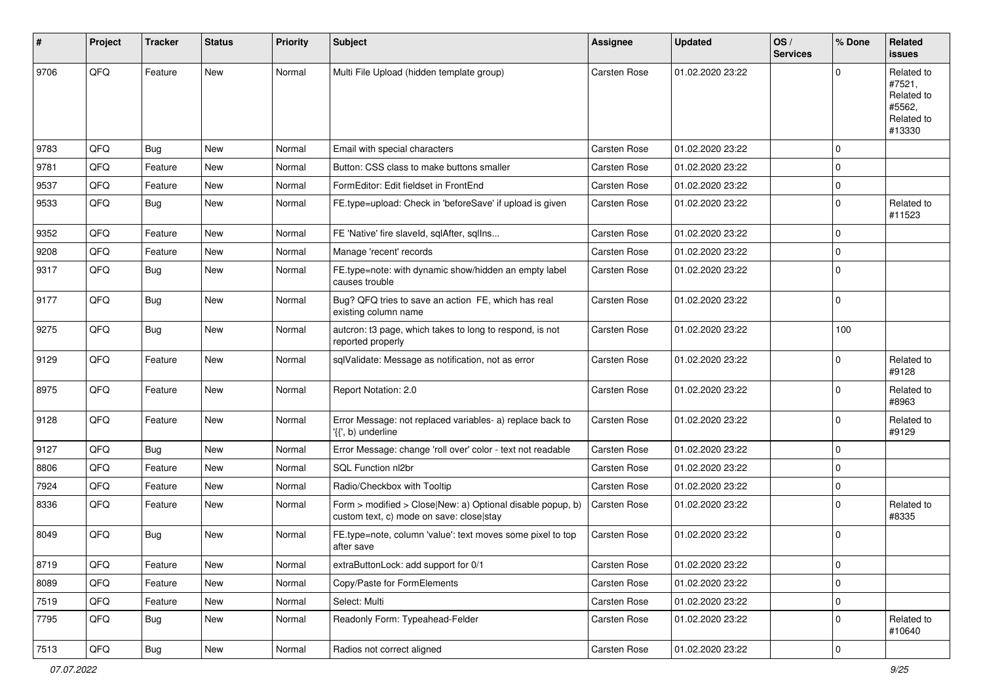| #    | Project | <b>Tracker</b> | <b>Status</b> | <b>Priority</b> | Subject                                                                                                | Assignee            | <b>Updated</b>   | OS/<br><b>Services</b> | % Done      | Related<br><b>issues</b>                                             |
|------|---------|----------------|---------------|-----------------|--------------------------------------------------------------------------------------------------------|---------------------|------------------|------------------------|-------------|----------------------------------------------------------------------|
| 9706 | QFQ     | Feature        | <b>New</b>    | Normal          | Multi File Upload (hidden template group)                                                              | Carsten Rose        | 01.02.2020 23:22 |                        | $\Omega$    | Related to<br>#7521,<br>Related to<br>#5562,<br>Related to<br>#13330 |
| 9783 | QFQ     | Bug            | New           | Normal          | Email with special characters                                                                          | Carsten Rose        | 01.02.2020 23:22 |                        | $\mathbf 0$ |                                                                      |
| 9781 | QFQ     | Feature        | New           | Normal          | Button: CSS class to make buttons smaller                                                              | Carsten Rose        | 01.02.2020 23:22 |                        | $\mathbf 0$ |                                                                      |
| 9537 | QFQ     | Feature        | New           | Normal          | FormEditor: Edit fieldset in FrontEnd                                                                  | Carsten Rose        | 01.02.2020 23:22 |                        | $\mathbf 0$ |                                                                      |
| 9533 | QFQ     | Bug            | New           | Normal          | FE.type=upload: Check in 'beforeSave' if upload is given                                               | Carsten Rose        | 01.02.2020 23:22 |                        | $\mathbf 0$ | Related to<br>#11523                                                 |
| 9352 | QFQ     | Feature        | <b>New</b>    | Normal          | FE 'Native' fire slaveld, sqlAfter, sqlIns                                                             | Carsten Rose        | 01.02.2020 23:22 |                        | $\mathbf 0$ |                                                                      |
| 9208 | QFQ     | Feature        | New           | Normal          | Manage 'recent' records                                                                                | <b>Carsten Rose</b> | 01.02.2020 23:22 |                        | $\mathbf 0$ |                                                                      |
| 9317 | QFQ     | <b>Bug</b>     | New           | Normal          | FE.type=note: with dynamic show/hidden an empty label<br>causes trouble                                | Carsten Rose        | 01.02.2020 23:22 |                        | $\mathbf 0$ |                                                                      |
| 9177 | QFQ     | <b>Bug</b>     | New           | Normal          | Bug? QFQ tries to save an action FE, which has real<br>existing column name                            | Carsten Rose        | 01.02.2020 23:22 |                        | $\mathbf 0$ |                                                                      |
| 9275 | QFQ     | <b>Bug</b>     | New           | Normal          | autcron: t3 page, which takes to long to respond, is not<br>reported properly                          | Carsten Rose        | 01.02.2020 23:22 |                        | 100         |                                                                      |
| 9129 | QFQ     | Feature        | <b>New</b>    | Normal          | sqlValidate: Message as notification, not as error                                                     | <b>Carsten Rose</b> | 01.02.2020 23:22 |                        | $\Omega$    | Related to<br>#9128                                                  |
| 8975 | QFQ     | Feature        | <b>New</b>    | Normal          | Report Notation: 2.0                                                                                   | Carsten Rose        | 01.02.2020 23:22 |                        | $\Omega$    | Related to<br>#8963                                                  |
| 9128 | QFQ     | Feature        | <b>New</b>    | Normal          | Error Message: not replaced variables- a) replace back to<br>'{{', b) underline                        | <b>Carsten Rose</b> | 01.02.2020 23:22 |                        | $\mathbf 0$ | Related to<br>#9129                                                  |
| 9127 | QFQ     | Bug            | <b>New</b>    | Normal          | Error Message: change 'roll over' color - text not readable                                            | Carsten Rose        | 01.02.2020 23:22 |                        | $\mathbf 0$ |                                                                      |
| 8806 | QFQ     | Feature        | New           | Normal          | SQL Function nl2br                                                                                     | <b>Carsten Rose</b> | 01.02.2020 23:22 |                        | $\mathbf 0$ |                                                                      |
| 7924 | QFQ     | Feature        | New           | Normal          | Radio/Checkbox with Tooltip                                                                            | Carsten Rose        | 01.02.2020 23:22 |                        | $\mathbf 0$ |                                                                      |
| 8336 | QFQ     | Feature        | New           | Normal          | Form > modified > Close New: a) Optional disable popup, b)<br>custom text, c) mode on save: close stay | <b>Carsten Rose</b> | 01.02.2020 23:22 |                        | $\mathbf 0$ | Related to<br>#8335                                                  |
| 8049 | QFQ     | Bug            | <b>New</b>    | Normal          | FE.type=note, column 'value': text moves some pixel to top<br>after save                               | Carsten Rose        | 01.02.2020 23:22 |                        | $\mathbf 0$ |                                                                      |
| 8719 | QFQ     | Feature        | New           | Normal          | extraButtonLock: add support for 0/1                                                                   | Carsten Rose        | 01.02.2020 23:22 |                        | $\mathbf 0$ |                                                                      |
| 8089 | QFQ     | Feature        | New           | Normal          | Copy/Paste for FormElements                                                                            | Carsten Rose        | 01.02.2020 23:22 |                        | $\mathbf 0$ |                                                                      |
| 7519 | QFQ     | Feature        | New           | Normal          | Select: Multi                                                                                          | Carsten Rose        | 01.02.2020 23:22 |                        | $\mathbf 0$ |                                                                      |
| 7795 | QFQ     | <b>Bug</b>     | New           | Normal          | Readonly Form: Typeahead-Felder                                                                        | Carsten Rose        | 01.02.2020 23:22 |                        | $\mathbf 0$ | Related to<br>#10640                                                 |
| 7513 | QFG     | Bug            | New           | Normal          | Radios not correct aligned                                                                             | Carsten Rose        | 01.02.2020 23:22 |                        | $\mathbf 0$ |                                                                      |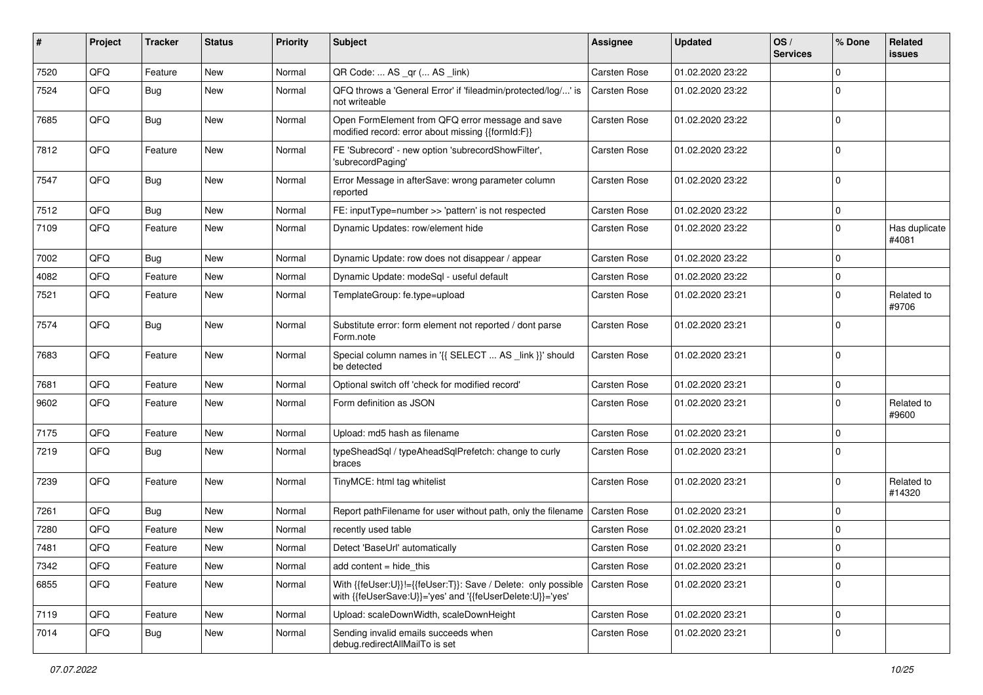| #    | Project | <b>Tracker</b> | <b>Status</b> | <b>Priority</b> | Subject                                                                                                                    | <b>Assignee</b> | <b>Updated</b>   | OS/<br><b>Services</b> | % Done      | Related<br>issues      |
|------|---------|----------------|---------------|-----------------|----------------------------------------------------------------------------------------------------------------------------|-----------------|------------------|------------------------|-------------|------------------------|
| 7520 | QFQ     | Feature        | <b>New</b>    | Normal          | QR Code:  AS _qr ( AS _link)                                                                                               | Carsten Rose    | 01.02.2020 23:22 |                        | $\mathbf 0$ |                        |
| 7524 | QFQ     | Bug            | <b>New</b>    | Normal          | QFQ throws a 'General Error' if 'fileadmin/protected/log/' is<br>not writeable                                             | Carsten Rose    | 01.02.2020 23:22 |                        | $\Omega$    |                        |
| 7685 | QFQ     | Bug            | New           | Normal          | Open FormElement from QFQ error message and save<br>modified record: error about missing {{formId:F}}                      | Carsten Rose    | 01.02.2020 23:22 |                        | $\Omega$    |                        |
| 7812 | QFQ     | Feature        | New           | Normal          | FE 'Subrecord' - new option 'subrecordShowFilter',<br>'subrecordPaging'                                                    | Carsten Rose    | 01.02.2020 23:22 |                        | $\Omega$    |                        |
| 7547 | QFQ     | Bug            | New           | Normal          | Error Message in afterSave: wrong parameter column<br>reported                                                             | Carsten Rose    | 01.02.2020 23:22 |                        | $\Omega$    |                        |
| 7512 | QFQ     | Bug            | <b>New</b>    | Normal          | FE: inputType=number >> 'pattern' is not respected                                                                         | Carsten Rose    | 01.02.2020 23:22 |                        | 0           |                        |
| 7109 | QFQ     | Feature        | New           | Normal          | Dynamic Updates: row/element hide                                                                                          | Carsten Rose    | 01.02.2020 23:22 |                        | $\Omega$    | Has duplicate<br>#4081 |
| 7002 | QFQ     | Bug            | <b>New</b>    | Normal          | Dynamic Update: row does not disappear / appear                                                                            | Carsten Rose    | 01.02.2020 23:22 |                        | $\mathbf 0$ |                        |
| 4082 | QFQ     | Feature        | New           | Normal          | Dynamic Update: modeSql - useful default                                                                                   | Carsten Rose    | 01.02.2020 23:22 |                        | $\mathbf 0$ |                        |
| 7521 | QFQ     | Feature        | New           | Normal          | TemplateGroup: fe.type=upload                                                                                              | Carsten Rose    | 01.02.2020 23:21 |                        | $\Omega$    | Related to<br>#9706    |
| 7574 | QFQ     | Bug            | <b>New</b>    | Normal          | Substitute error: form element not reported / dont parse<br>Form.note                                                      | Carsten Rose    | 01.02.2020 23:21 |                        | $\Omega$    |                        |
| 7683 | QFQ     | Feature        | <b>New</b>    | Normal          | Special column names in '{{ SELECT  AS _link }}' should<br>be detected                                                     | Carsten Rose    | 01.02.2020 23:21 |                        | $\Omega$    |                        |
| 7681 | QFQ     | Feature        | <b>New</b>    | Normal          | Optional switch off 'check for modified record'                                                                            | Carsten Rose    | 01.02.2020 23:21 |                        | 0           |                        |
| 9602 | QFQ     | Feature        | New           | Normal          | Form definition as JSON                                                                                                    | Carsten Rose    | 01.02.2020 23:21 |                        | $\Omega$    | Related to<br>#9600    |
| 7175 | QFQ     | Feature        | <b>New</b>    | Normal          | Upload: md5 hash as filename                                                                                               | Carsten Rose    | 01.02.2020 23:21 |                        | $\mathbf 0$ |                        |
| 7219 | QFQ     | <b>Bug</b>     | New           | Normal          | typeSheadSql / typeAheadSqlPrefetch: change to curly<br>braces                                                             | Carsten Rose    | 01.02.2020 23:21 |                        | $\Omega$    |                        |
| 7239 | QFQ     | Feature        | <b>New</b>    | Normal          | TinyMCE: html tag whitelist                                                                                                | Carsten Rose    | 01.02.2020 23:21 |                        | $\Omega$    | Related to<br>#14320   |
| 7261 | QFQ     | Bug            | <b>New</b>    | Normal          | Report pathFilename for user without path, only the filename                                                               | Carsten Rose    | 01.02.2020 23:21 |                        | $\mathbf 0$ |                        |
| 7280 | QFQ     | Feature        | New           | Normal          | recently used table                                                                                                        | Carsten Rose    | 01.02.2020 23:21 |                        | $\Omega$    |                        |
| 7481 | QFQ     | Feature        | New           | Normal          | Detect 'BaseUrl' automatically                                                                                             | Carsten Rose    | 01.02.2020 23:21 |                        | $\Omega$    |                        |
| 7342 | QFQ     | Feature        | New           | Normal          | add content = hide_this                                                                                                    | Carsten Rose    | 01.02.2020 23:21 |                        | $\mathbf 0$ |                        |
| 6855 | QFQ     | Feature        | New           | Normal          | With {{feUser:U}}!={{feUser:T}}: Save / Delete: only possible<br>with {{feUserSave:U}}='yes' and '{{feUserDelete:U}}='yes' | Carsten Rose    | 01.02.2020 23:21 |                        | $\mathbf 0$ |                        |
| 7119 | QFQ     | Feature        | <b>New</b>    | Normal          | Upload: scaleDownWidth, scaleDownHeight                                                                                    | Carsten Rose    | 01.02.2020 23:21 |                        | $\mathbf 0$ |                        |
| 7014 | QFQ     | <b>Bug</b>     | New           | Normal          | Sending invalid emails succeeds when<br>debug.redirectAllMailTo is set                                                     | Carsten Rose    | 01.02.2020 23:21 |                        | $\mathbf 0$ |                        |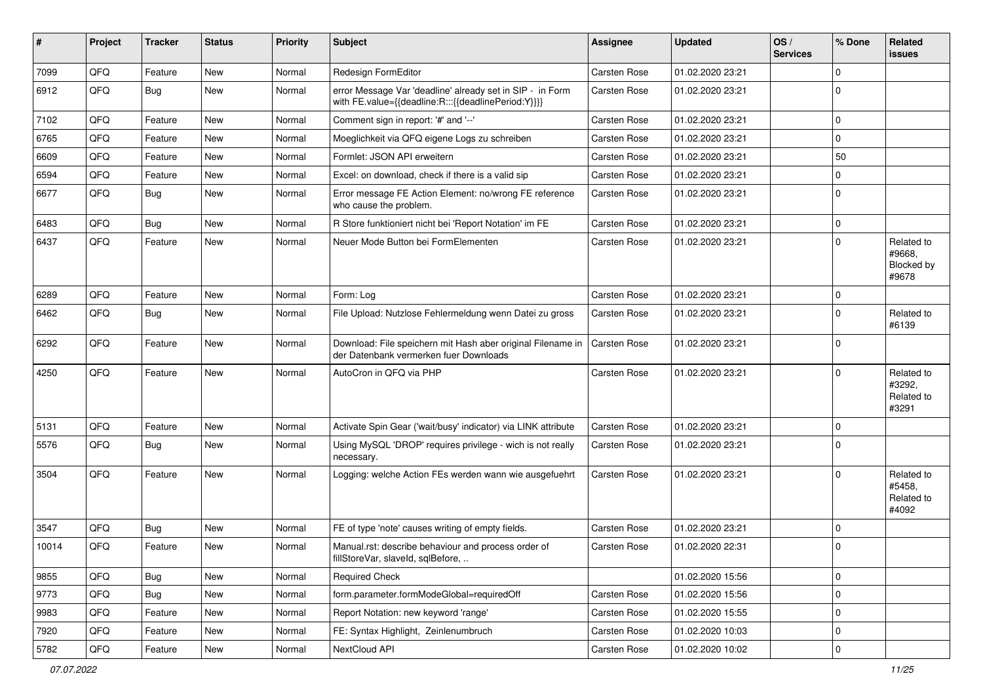| #     | Project | <b>Tracker</b> | <b>Status</b> | <b>Priority</b> | <b>Subject</b>                                                                                                   | Assignee            | <b>Updated</b>   | OS/<br><b>Services</b> | % Done      | Related<br><b>issues</b>                    |
|-------|---------|----------------|---------------|-----------------|------------------------------------------------------------------------------------------------------------------|---------------------|------------------|------------------------|-------------|---------------------------------------------|
| 7099  | QFQ     | Feature        | <b>New</b>    | Normal          | Redesign FormEditor                                                                                              | Carsten Rose        | 01.02.2020 23:21 |                        | $\mathbf 0$ |                                             |
| 6912  | QFQ     | Bug            | <b>New</b>    | Normal          | error Message Var 'deadline' already set in SIP - in Form<br>with FE.value={{deadline:R:::{{deadlinePeriod:Y}}}} | <b>Carsten Rose</b> | 01.02.2020 23:21 |                        | $\mathbf 0$ |                                             |
| 7102  | QFQ     | Feature        | <b>New</b>    | Normal          | Comment sign in report: '#' and '--'                                                                             | Carsten Rose        | 01.02.2020 23:21 |                        | $\mathbf 0$ |                                             |
| 6765  | QFQ     | Feature        | New           | Normal          | Moeglichkeit via QFQ eigene Logs zu schreiben                                                                    | <b>Carsten Rose</b> | 01.02.2020 23:21 |                        | $\mathbf 0$ |                                             |
| 6609  | QFQ     | Feature        | New           | Normal          | Formlet: JSON API erweitern                                                                                      | <b>Carsten Rose</b> | 01.02.2020 23:21 |                        | 50          |                                             |
| 6594  | QFQ     | Feature        | <b>New</b>    | Normal          | Excel: on download, check if there is a valid sip                                                                | Carsten Rose        | 01.02.2020 23:21 |                        | $\pmb{0}$   |                                             |
| 6677  | QFQ     | Bug            | <b>New</b>    | Normal          | Error message FE Action Element: no/wrong FE reference<br>who cause the problem.                                 | Carsten Rose        | 01.02.2020 23:21 |                        | $\Omega$    |                                             |
| 6483  | QFQ     | Bug            | New           | Normal          | R Store funktioniert nicht bei 'Report Notation' im FE                                                           | Carsten Rose        | 01.02.2020 23:21 |                        | $\mathbf 0$ |                                             |
| 6437  | QFQ     | Feature        | New           | Normal          | Neuer Mode Button bei FormElementen                                                                              | <b>Carsten Rose</b> | 01.02.2020 23:21 |                        | $\Omega$    | Related to<br>#9668,<br>Blocked by<br>#9678 |
| 6289  | QFQ     | Feature        | <b>New</b>    | Normal          | Form: Log                                                                                                        | <b>Carsten Rose</b> | 01.02.2020 23:21 |                        | $\mathbf 0$ |                                             |
| 6462  | QFQ     | Bug            | <b>New</b>    | Normal          | File Upload: Nutzlose Fehlermeldung wenn Datei zu gross                                                          | Carsten Rose        | 01.02.2020 23:21 |                        | $\mathbf 0$ | Related to<br>#6139                         |
| 6292  | QFQ     | Feature        | New           | Normal          | Download: File speichern mit Hash aber original Filename in<br>der Datenbank vermerken fuer Downloads            | Carsten Rose        | 01.02.2020 23:21 |                        | $\mathbf 0$ |                                             |
| 4250  | QFQ     | Feature        | <b>New</b>    | Normal          | AutoCron in QFQ via PHP                                                                                          | Carsten Rose        | 01.02.2020 23:21 |                        | $\Omega$    | Related to<br>#3292,<br>Related to<br>#3291 |
| 5131  | QFQ     | Feature        | <b>New</b>    | Normal          | Activate Spin Gear ('wait/busy' indicator) via LINK attribute                                                    | <b>Carsten Rose</b> | 01.02.2020 23:21 |                        | $\mathbf 0$ |                                             |
| 5576  | QFQ     | Bug            | New           | Normal          | Using MySQL 'DROP' requires privilege - wich is not really<br>necessary.                                         | Carsten Rose        | 01.02.2020 23:21 |                        | $\mathbf 0$ |                                             |
| 3504  | QFQ     | Feature        | <b>New</b>    | Normal          | Logging: welche Action FEs werden wann wie ausgefuehrt                                                           | Carsten Rose        | 01.02.2020 23:21 |                        | $\mathbf 0$ | Related to<br>#5458,<br>Related to<br>#4092 |
| 3547  | QFQ     | Bug            | <b>New</b>    | Normal          | FE of type 'note' causes writing of empty fields.                                                                | <b>Carsten Rose</b> | 01.02.2020 23:21 |                        | $\mathbf 0$ |                                             |
| 10014 | QFQ     | Feature        | <b>New</b>    | Normal          | Manual.rst: describe behaviour and process order of<br>fillStoreVar, slaveId, sqlBefore,                         | Carsten Rose        | 01.02.2020 22:31 |                        | 0           |                                             |
| 9855  | QFQ     | <b>Bug</b>     | New           | Normal          | <b>Required Check</b>                                                                                            |                     | 01.02.2020 15:56 |                        | $\mathbf 0$ |                                             |
| 9773  | QFQ     | <b>Bug</b>     | New           | Normal          | form.parameter.formModeGlobal=requiredOff                                                                        | Carsten Rose        | 01.02.2020 15:56 |                        | $\mathbf 0$ |                                             |
| 9983  | QFQ     | Feature        | New           | Normal          | Report Notation: new keyword 'range'                                                                             | Carsten Rose        | 01.02.2020 15:55 |                        | $\pmb{0}$   |                                             |
| 7920  | QFQ     | Feature        | New           | Normal          | FE: Syntax Highlight, Zeinlenumbruch                                                                             | Carsten Rose        | 01.02.2020 10:03 |                        | $\mathbf 0$ |                                             |
| 5782  | QFQ     | Feature        | New           | Normal          | NextCloud API                                                                                                    | Carsten Rose        | 01.02.2020 10:02 |                        | $\mathbf 0$ |                                             |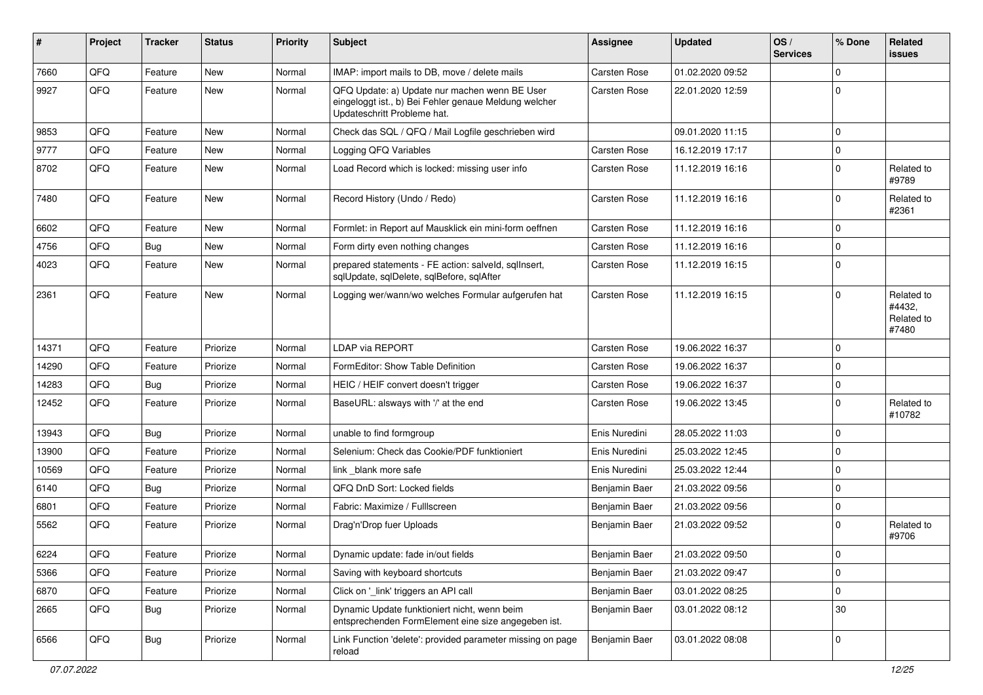| #     | Project | <b>Tracker</b> | <b>Status</b> | <b>Priority</b> | Subject                                                                                                                               | <b>Assignee</b> | <b>Updated</b>   | OS/<br><b>Services</b> | % Done      | Related<br>issues                           |
|-------|---------|----------------|---------------|-----------------|---------------------------------------------------------------------------------------------------------------------------------------|-----------------|------------------|------------------------|-------------|---------------------------------------------|
| 7660  | QFQ     | Feature        | <b>New</b>    | Normal          | IMAP: import mails to DB, move / delete mails                                                                                         | Carsten Rose    | 01.02.2020 09:52 |                        | $\Omega$    |                                             |
| 9927  | QFQ     | Feature        | <b>New</b>    | Normal          | QFQ Update: a) Update nur machen wenn BE User<br>eingeloggt ist., b) Bei Fehler genaue Meldung welcher<br>Updateschritt Probleme hat. | Carsten Rose    | 22.01.2020 12:59 |                        | $\Omega$    |                                             |
| 9853  | QFQ     | Feature        | <b>New</b>    | Normal          | Check das SQL / QFQ / Mail Logfile geschrieben wird                                                                                   |                 | 09.01.2020 11:15 |                        | $\Omega$    |                                             |
| 9777  | QFQ     | Feature        | New           | Normal          | Logging QFQ Variables                                                                                                                 | Carsten Rose    | 16.12.2019 17:17 |                        | $\Omega$    |                                             |
| 8702  | QFQ     | Feature        | New           | Normal          | Load Record which is locked: missing user info                                                                                        | Carsten Rose    | 11.12.2019 16:16 |                        | $\Omega$    | Related to<br>#9789                         |
| 7480  | QFQ     | Feature        | New           | Normal          | Record History (Undo / Redo)                                                                                                          | Carsten Rose    | 11.12.2019 16:16 |                        | $\Omega$    | Related to<br>#2361                         |
| 6602  | QFQ     | Feature        | New           | Normal          | Formlet: in Report auf Mausklick ein mini-form oeffnen                                                                                | Carsten Rose    | 11.12.2019 16:16 |                        | $\Omega$    |                                             |
| 4756  | QFQ     | Bug            | <b>New</b>    | Normal          | Form dirty even nothing changes                                                                                                       | Carsten Rose    | 11.12.2019 16:16 |                        | $\Omega$    |                                             |
| 4023  | QFQ     | Feature        | New           | Normal          | prepared statements - FE action: salveld, sqllnsert,<br>sqlUpdate, sqlDelete, sqlBefore, sqlAfter                                     | Carsten Rose    | 11.12.2019 16:15 |                        | $\Omega$    |                                             |
| 2361  | QFQ     | Feature        | <b>New</b>    | Normal          | Logging wer/wann/wo welches Formular aufgerufen hat                                                                                   | Carsten Rose    | 11.12.2019 16:15 |                        | $\Omega$    | Related to<br>#4432,<br>Related to<br>#7480 |
| 14371 | QFQ     | Feature        | Priorize      | Normal          | LDAP via REPORT                                                                                                                       | Carsten Rose    | 19.06.2022 16:37 |                        | $\Omega$    |                                             |
| 14290 | QFQ     | Feature        | Priorize      | Normal          | FormEditor: Show Table Definition                                                                                                     | Carsten Rose    | 19.06.2022 16:37 |                        | $\Omega$    |                                             |
| 14283 | QFQ     | Bug            | Priorize      | Normal          | HEIC / HEIF convert doesn't trigger                                                                                                   | Carsten Rose    | 19.06.2022 16:37 |                        | $\Omega$    |                                             |
| 12452 | QFQ     | Feature        | Priorize      | Normal          | BaseURL: alsways with '/' at the end                                                                                                  | Carsten Rose    | 19.06.2022 13:45 |                        | $\Omega$    | Related to<br>#10782                        |
| 13943 | QFQ     | Bug            | Priorize      | Normal          | unable to find formgroup                                                                                                              | Enis Nuredini   | 28.05.2022 11:03 |                        | $\Omega$    |                                             |
| 13900 | QFQ     | Feature        | Priorize      | Normal          | Selenium: Check das Cookie/PDF funktioniert                                                                                           | Enis Nuredini   | 25.03.2022 12:45 |                        | $\Omega$    |                                             |
| 10569 | QFQ     | Feature        | Priorize      | Normal          | link blank more safe                                                                                                                  | Enis Nuredini   | 25.03.2022 12:44 |                        | $\Omega$    |                                             |
| 6140  | QFQ     | <b>Bug</b>     | Priorize      | Normal          | QFQ DnD Sort: Locked fields                                                                                                           | Benjamin Baer   | 21.03.2022 09:56 |                        | $\Omega$    |                                             |
| 6801  | QFQ     | Feature        | Priorize      | Normal          | Fabric: Maximize / FullIscreen                                                                                                        | Benjamin Baer   | 21.03.2022 09:56 |                        | $\Omega$    |                                             |
| 5562  | QFQ     | Feature        | Priorize      | Normal          | Drag'n'Drop fuer Uploads                                                                                                              | Benjamin Baer   | 21.03.2022 09:52 |                        | $\Omega$    | Related to<br>#9706                         |
| 6224  | QFQ     | Feature        | Priorize      | Normal          | Dynamic update: fade in/out fields                                                                                                    | Benjamin Baer   | 21.03.2022 09:50 |                        | 0           |                                             |
| 5366  | QFQ     | Feature        | Priorize      | Normal          | Saving with keyboard shortcuts                                                                                                        | Benjamin Baer   | 21.03.2022 09:47 |                        | $\mathbf 0$ |                                             |
| 6870  | QFQ     | Feature        | Priorize      | Normal          | Click on '_link' triggers an API call                                                                                                 | Benjamin Baer   | 03.01.2022 08:25 |                        | $\mathbf 0$ |                                             |
| 2665  | QFQ     | <b>Bug</b>     | Priorize      | Normal          | Dynamic Update funktioniert nicht, wenn beim<br>entsprechenden FormElement eine size angegeben ist.                                   | Benjamin Baer   | 03.01.2022 08:12 |                        | $30\,$      |                                             |
| 6566  | QFQ     | Bug            | Priorize      | Normal          | Link Function 'delete': provided parameter missing on page<br>reload                                                                  | Benjamin Baer   | 03.01.2022 08:08 |                        | $\mathbf 0$ |                                             |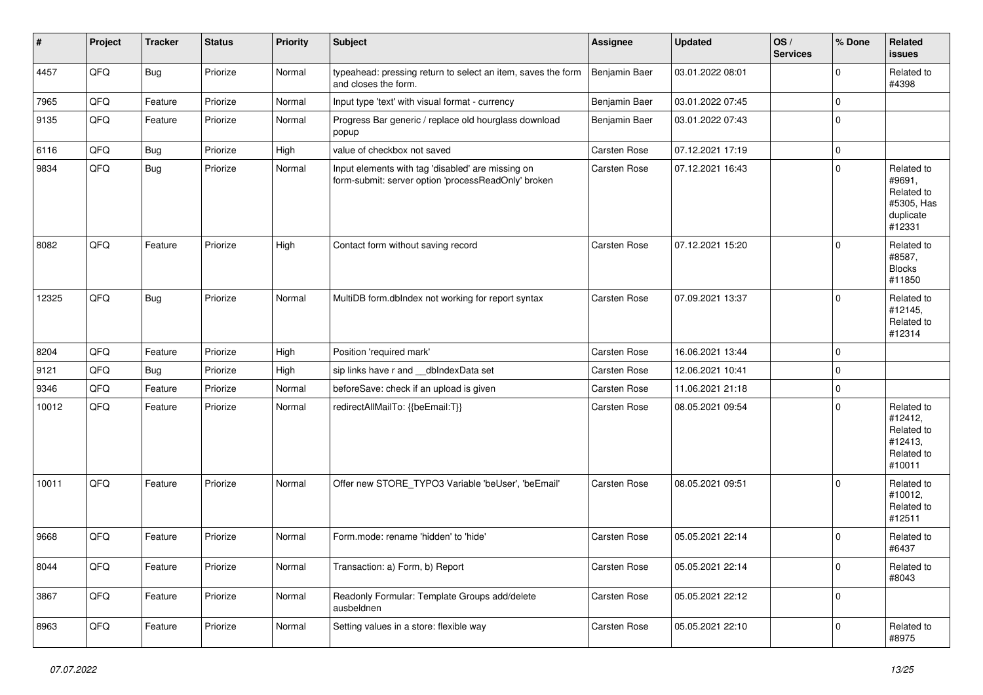| $\vert$ # | Project | <b>Tracker</b> | <b>Status</b> | <b>Priority</b> | <b>Subject</b>                                                                                           | <b>Assignee</b>     | <b>Updated</b>   | OS/<br><b>Services</b> | % Done      | Related<br><b>issues</b>                                                |
|-----------|---------|----------------|---------------|-----------------|----------------------------------------------------------------------------------------------------------|---------------------|------------------|------------------------|-------------|-------------------------------------------------------------------------|
| 4457      | QFQ     | <b>Bug</b>     | Priorize      | Normal          | typeahead: pressing return to select an item, saves the form<br>and closes the form.                     | Benjamin Baer       | 03.01.2022 08:01 |                        | $\mathbf 0$ | Related to<br>#4398                                                     |
| 7965      | QFQ     | Feature        | Priorize      | Normal          | Input type 'text' with visual format - currency                                                          | Benjamin Baer       | 03.01.2022 07:45 |                        | $\mathbf 0$ |                                                                         |
| 9135      | QFQ     | Feature        | Priorize      | Normal          | Progress Bar generic / replace old hourglass download<br>popup                                           | Benjamin Baer       | 03.01.2022 07:43 |                        | $\mathbf 0$ |                                                                         |
| 6116      | QFQ     | Bug            | Priorize      | High            | value of checkbox not saved                                                                              | <b>Carsten Rose</b> | 07.12.2021 17:19 |                        | $\mathbf 0$ |                                                                         |
| 9834      | QFQ     | <b>Bug</b>     | Priorize      | Normal          | Input elements with tag 'disabled' are missing on<br>form-submit: server option 'processReadOnly' broken | <b>Carsten Rose</b> | 07.12.2021 16:43 |                        | $\mathbf 0$ | Related to<br>#9691,<br>Related to<br>#5305, Has<br>duplicate<br>#12331 |
| 8082      | QFQ     | Feature        | Priorize      | High            | Contact form without saving record                                                                       | <b>Carsten Rose</b> | 07.12.2021 15:20 |                        | $\mathbf 0$ | Related to<br>#8587,<br><b>Blocks</b><br>#11850                         |
| 12325     | QFQ     | Bug            | Priorize      | Normal          | MultiDB form.dblndex not working for report syntax                                                       | <b>Carsten Rose</b> | 07.09.2021 13:37 |                        | $\Omega$    | Related to<br>#12145,<br>Related to<br>#12314                           |
| 8204      | QFQ     | Feature        | Priorize      | High            | Position 'required mark'                                                                                 | <b>Carsten Rose</b> | 16.06.2021 13:44 |                        | $\mathbf 0$ |                                                                         |
| 9121      | QFQ     | Bug            | Priorize      | High            | sip links have r and __dbIndexData set                                                                   | Carsten Rose        | 12.06.2021 10:41 |                        | 0           |                                                                         |
| 9346      | QFQ     | Feature        | Priorize      | Normal          | beforeSave: check if an upload is given                                                                  | <b>Carsten Rose</b> | 11.06.2021 21:18 |                        | $\mathbf 0$ |                                                                         |
| 10012     | QFQ     | Feature        | Priorize      | Normal          | redirectAllMailTo: {{beEmail:T}}                                                                         | <b>Carsten Rose</b> | 08.05.2021 09:54 |                        | $\mathbf 0$ | Related to<br>#12412,<br>Related to<br>#12413,<br>Related to<br>#10011  |
| 10011     | QFQ     | Feature        | Priorize      | Normal          | Offer new STORE_TYPO3 Variable 'beUser', 'beEmail'                                                       | <b>Carsten Rose</b> | 08.05.2021 09:51 |                        | $\mathbf 0$ | Related to<br>#10012,<br>Related to<br>#12511                           |
| 9668      | QFQ     | Feature        | Priorize      | Normal          | Form.mode: rename 'hidden' to 'hide'                                                                     | <b>Carsten Rose</b> | 05.05.2021 22:14 |                        | 0           | Related to<br>#6437                                                     |
| 8044      | QFQ     | Feature        | Priorize      | Normal          | Transaction: a) Form, b) Report                                                                          | Carsten Rose        | 05.05.2021 22:14 |                        | 0           | Related to<br>#8043                                                     |
| 3867      | QFQ     | Feature        | Priorize      | Normal          | Readonly Formular: Template Groups add/delete<br>ausbeldnen                                              | Carsten Rose        | 05.05.2021 22:12 |                        | 0           |                                                                         |
| 8963      | QFQ     | Feature        | Priorize      | Normal          | Setting values in a store: flexible way                                                                  | Carsten Rose        | 05.05.2021 22:10 |                        | $\mathbf 0$ | Related to<br>#8975                                                     |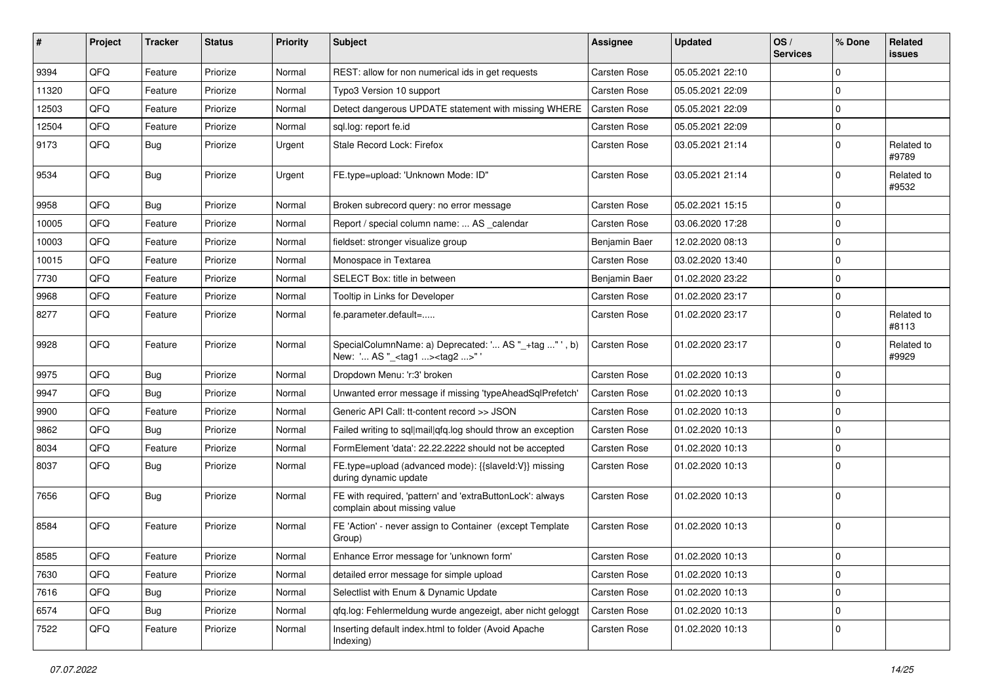| #     | <b>Project</b> | <b>Tracker</b> | <b>Status</b> | <b>Priority</b> | <b>Subject</b>                                                                                      | <b>Assignee</b>     | <b>Updated</b>   | OS/<br><b>Services</b> | % Done      | Related<br>issues   |
|-------|----------------|----------------|---------------|-----------------|-----------------------------------------------------------------------------------------------------|---------------------|------------------|------------------------|-------------|---------------------|
| 9394  | QFQ            | Feature        | Priorize      | Normal          | REST: allow for non numerical ids in get requests                                                   | Carsten Rose        | 05.05.2021 22:10 |                        | $\Omega$    |                     |
| 11320 | QFQ            | Feature        | Priorize      | Normal          | Typo3 Version 10 support                                                                            | Carsten Rose        | 05.05.2021 22:09 |                        | $\Omega$    |                     |
| 12503 | QFQ            | Feature        | Priorize      | Normal          | Detect dangerous UPDATE statement with missing WHERE                                                | Carsten Rose        | 05.05.2021 22:09 |                        | $\Omega$    |                     |
| 12504 | QFQ            | Feature        | Priorize      | Normal          | sql.log: report fe.id                                                                               | Carsten Rose        | 05.05.2021 22:09 |                        | $\Omega$    |                     |
| 9173  | QFQ            | <b>Bug</b>     | Priorize      | Urgent          | Stale Record Lock: Firefox                                                                          | Carsten Rose        | 03.05.2021 21:14 |                        | $\Omega$    | Related to<br>#9789 |
| 9534  | QFQ            | Bug            | Priorize      | Urgent          | FE.type=upload: 'Unknown Mode: ID"                                                                  | Carsten Rose        | 03.05.2021 21:14 |                        | $\Omega$    | Related to<br>#9532 |
| 9958  | QFQ            | Bug            | Priorize      | Normal          | Broken subrecord query: no error message                                                            | <b>Carsten Rose</b> | 05.02.2021 15:15 |                        | $\Omega$    |                     |
| 10005 | QFQ            | Feature        | Priorize      | Normal          | Report / special column name:  AS _calendar                                                         | Carsten Rose        | 03.06.2020 17:28 |                        | $\Omega$    |                     |
| 10003 | QFQ            | Feature        | Priorize      | Normal          | fieldset: stronger visualize group                                                                  | Benjamin Baer       | 12.02.2020 08:13 |                        | $\Omega$    |                     |
| 10015 | QFQ            | Feature        | Priorize      | Normal          | Monospace in Textarea                                                                               | Carsten Rose        | 03.02.2020 13:40 |                        | $\Omega$    |                     |
| 7730  | QFQ            | Feature        | Priorize      | Normal          | SELECT Box: title in between                                                                        | Benjamin Baer       | 01.02.2020 23:22 |                        | $\Omega$    |                     |
| 9968  | QFQ            | Feature        | Priorize      | Normal          | Tooltip in Links for Developer                                                                      | Carsten Rose        | 01.02.2020 23:17 |                        | $\mathbf 0$ |                     |
| 8277  | QFQ            | Feature        | Priorize      | Normal          | fe.parameter.default=                                                                               | Carsten Rose        | 01.02.2020 23:17 |                        | $\Omega$    | Related to<br>#8113 |
| 9928  | QFQ            | Feature        | Priorize      | Normal          | SpecialColumnName: a) Deprecated: ' AS "_+tag " ', b)<br>New: ' AS "_ <tag1><tag2>" '</tag2></tag1> | Carsten Rose        | 01.02.2020 23:17 |                        | $\Omega$    | Related to<br>#9929 |
| 9975  | QFQ            | <b>Bug</b>     | Priorize      | Normal          | Dropdown Menu: 'r:3' broken                                                                         | Carsten Rose        | 01.02.2020 10:13 |                        | $\Omega$    |                     |
| 9947  | QFQ            | Bug            | Priorize      | Normal          | Unwanted error message if missing 'typeAheadSqlPrefetch'                                            | Carsten Rose        | 01.02.2020 10:13 |                        | $\Omega$    |                     |
| 9900  | QFQ            | Feature        | Priorize      | Normal          | Generic API Call: tt-content record >> JSON                                                         | Carsten Rose        | 01.02.2020 10:13 |                        | $\Omega$    |                     |
| 9862  | QFQ            | <b>Bug</b>     | Priorize      | Normal          | Failed writing to sql mail qfq.log should throw an exception                                        | Carsten Rose        | 01.02.2020 10:13 |                        | $\Omega$    |                     |
| 8034  | QFQ            | Feature        | Priorize      | Normal          | FormElement 'data': 22.22.2222 should not be accepted                                               | <b>Carsten Rose</b> | 01.02.2020 10:13 |                        | $\Omega$    |                     |
| 8037  | QFQ            | <b>Bug</b>     | Priorize      | Normal          | FE.type=upload (advanced mode): {{slaveld:V}} missing<br>during dynamic update                      | Carsten Rose        | 01.02.2020 10:13 |                        | $\Omega$    |                     |
| 7656  | QFQ            | Bug            | Priorize      | Normal          | FE with required, 'pattern' and 'extraButtonLock': always<br>complain about missing value           | Carsten Rose        | 01.02.2020 10:13 |                        | $\Omega$    |                     |
| 8584  | QFQ            | Feature        | Priorize      | Normal          | FE 'Action' - never assign to Container (except Template<br>Group)                                  | Carsten Rose        | 01.02.2020 10:13 |                        | $\Omega$    |                     |
| 8585  | QFQ            | Feature        | Priorize      | Normal          | Enhance Error message for 'unknown form'                                                            | Carsten Rose        | 01.02.2020 10:13 |                        | 0           |                     |
| 7630  | QFQ            | Feature        | Priorize      | Normal          | detailed error message for simple upload                                                            | Carsten Rose        | 01.02.2020 10:13 |                        | $\mathbf 0$ |                     |
| 7616  | QFQ            | <b>Bug</b>     | Priorize      | Normal          | Selectlist with Enum & Dynamic Update                                                               | Carsten Rose        | 01.02.2020 10:13 |                        | $\mathbf 0$ |                     |
| 6574  | QFQ            | Bug            | Priorize      | Normal          | qfq.log: Fehlermeldung wurde angezeigt, aber nicht geloggt                                          | Carsten Rose        | 01.02.2020 10:13 |                        | $\mathbf 0$ |                     |
| 7522  | QFQ            | Feature        | Priorize      | Normal          | Inserting default index.html to folder (Avoid Apache<br>Indexing)                                   | Carsten Rose        | 01.02.2020 10:13 |                        | 0           |                     |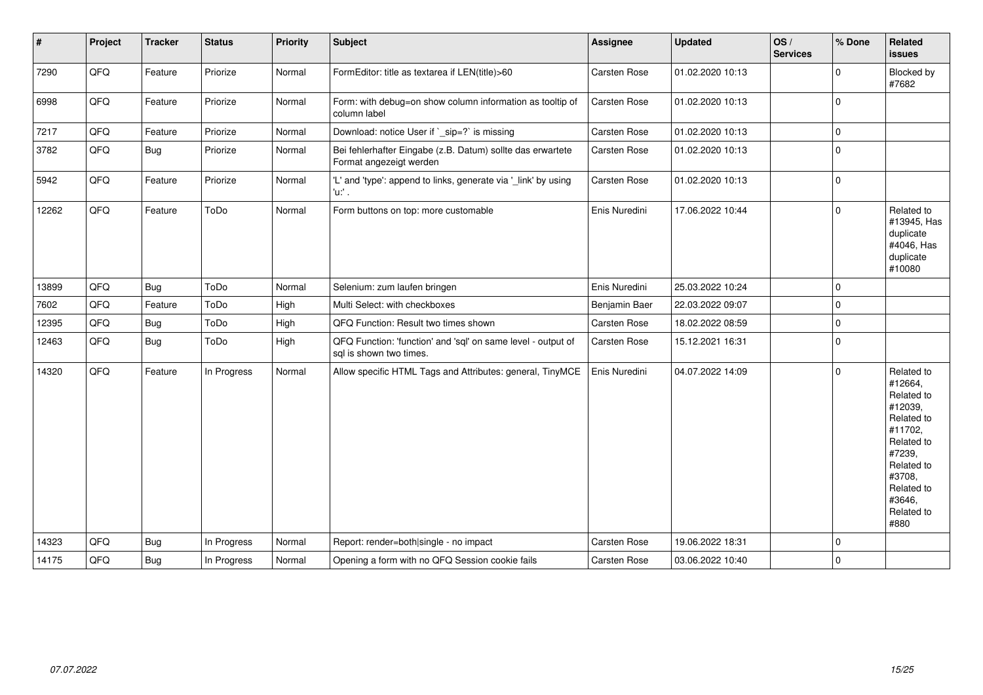| #     | Project | <b>Tracker</b> | <b>Status</b> | <b>Priority</b> | <b>Subject</b>                                                                          | <b>Assignee</b>     | <b>Updated</b>   | OS/<br><b>Services</b> | % Done      | Related<br><b>issues</b>                                                                                                                                              |
|-------|---------|----------------|---------------|-----------------|-----------------------------------------------------------------------------------------|---------------------|------------------|------------------------|-------------|-----------------------------------------------------------------------------------------------------------------------------------------------------------------------|
| 7290  | QFQ     | Feature        | Priorize      | Normal          | FormEditor: title as textarea if LEN(title)>60                                          | Carsten Rose        | 01.02.2020 10:13 |                        | $\mathbf 0$ | Blocked by<br>#7682                                                                                                                                                   |
| 6998  | QFQ     | Feature        | Priorize      | Normal          | Form: with debug=on show column information as tooltip of<br>column label               | <b>Carsten Rose</b> | 01.02.2020 10:13 |                        | $\mathbf 0$ |                                                                                                                                                                       |
| 7217  | QFQ     | Feature        | Priorize      | Normal          | Download: notice User if `_sip=?` is missing                                            | Carsten Rose        | 01.02.2020 10:13 |                        | $\mathbf 0$ |                                                                                                                                                                       |
| 3782  | QFQ     | <b>Bug</b>     | Priorize      | Normal          | Bei fehlerhafter Eingabe (z.B. Datum) sollte das erwartete<br>Format angezeigt werden   | Carsten Rose        | 01.02.2020 10:13 |                        | $\Omega$    |                                                                                                                                                                       |
| 5942  | QFQ     | Feature        | Priorize      | Normal          | 'L' and 'type': append to links, generate via '_link' by using<br>'u:' .                | Carsten Rose        | 01.02.2020 10:13 |                        | $\mathbf 0$ |                                                                                                                                                                       |
| 12262 | QFQ     | Feature        | ToDo          | Normal          | Form buttons on top: more customable                                                    | Enis Nuredini       | 17.06.2022 10:44 |                        | $\Omega$    | Related to<br>#13945, Has<br>duplicate<br>#4046, Has<br>duplicate<br>#10080                                                                                           |
| 13899 | QFQ     | Bug            | ToDo          | Normal          | Selenium: zum laufen bringen                                                            | Enis Nuredini       | 25.03.2022 10:24 |                        | $\Omega$    |                                                                                                                                                                       |
| 7602  | QFQ     | Feature        | ToDo          | High            | Multi Select: with checkboxes                                                           | Benjamin Baer       | 22.03.2022 09:07 |                        | $\mathbf 0$ |                                                                                                                                                                       |
| 12395 | QFQ     | <b>Bug</b>     | ToDo          | High            | QFQ Function: Result two times shown                                                    | Carsten Rose        | 18.02.2022 08:59 |                        | $\mathbf 0$ |                                                                                                                                                                       |
| 12463 | QFQ     | <b>Bug</b>     | ToDo          | High            | QFQ Function: 'function' and 'sql' on same level - output of<br>sql is shown two times. | Carsten Rose        | 15.12.2021 16:31 |                        | $\mathbf 0$ |                                                                                                                                                                       |
| 14320 | QFQ     | Feature        | In Progress   | Normal          | Allow specific HTML Tags and Attributes: general, TinyMCE                               | Enis Nuredini       | 04.07.2022 14:09 |                        | $\Omega$    | Related to<br>#12664,<br>Related to<br>#12039,<br>Related to<br>#11702,<br>Related to<br>#7239,<br>Related to<br>#3708,<br>Related to<br>#3646.<br>Related to<br>#880 |
| 14323 | QFQ     | <b>Bug</b>     | In Progress   | Normal          | Report: render=both single - no impact                                                  | <b>Carsten Rose</b> | 19.06.2022 18:31 |                        | $\mathbf 0$ |                                                                                                                                                                       |
| 14175 | QFQ     | <b>Bug</b>     | In Progress   | Normal          | Opening a form with no QFQ Session cookie fails                                         | <b>Carsten Rose</b> | 03.06.2022 10:40 |                        | $\Omega$    |                                                                                                                                                                       |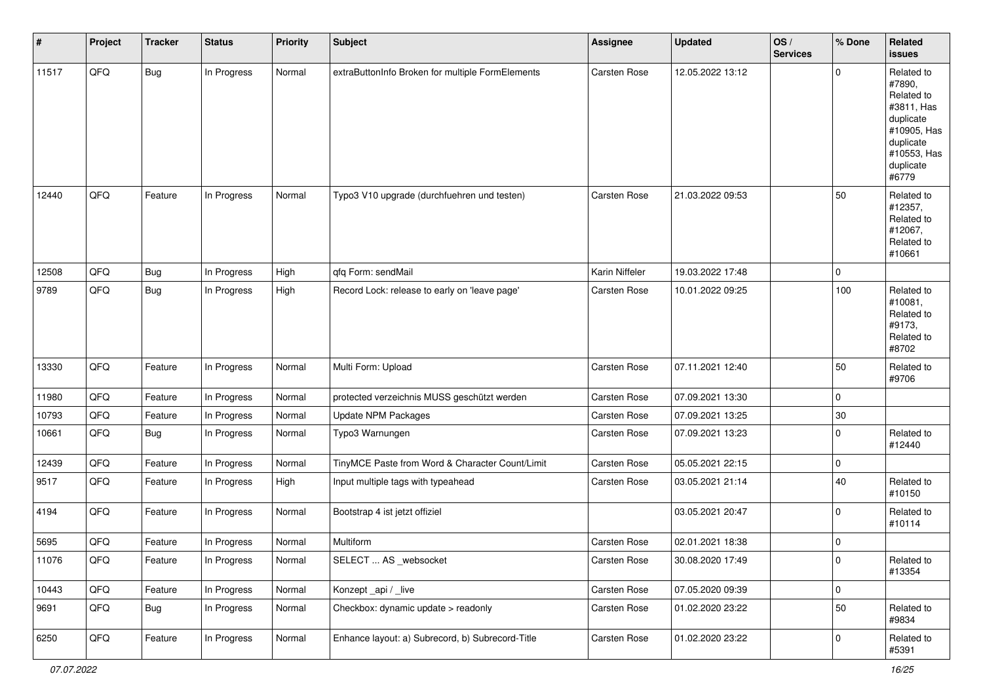| #     | Project | <b>Tracker</b> | <b>Status</b> | <b>Priority</b> | <b>Subject</b>                                   | <b>Assignee</b> | <b>Updated</b>   | OS/<br><b>Services</b> | % Done      | Related<br>issues                                                                                                              |
|-------|---------|----------------|---------------|-----------------|--------------------------------------------------|-----------------|------------------|------------------------|-------------|--------------------------------------------------------------------------------------------------------------------------------|
| 11517 | QFQ     | <b>Bug</b>     | In Progress   | Normal          | extraButtonInfo Broken for multiple FormElements | Carsten Rose    | 12.05.2022 13:12 |                        | $\mathbf 0$ | Related to<br>#7890,<br>Related to<br>#3811, Has<br>duplicate<br>#10905, Has<br>duplicate<br>#10553, Has<br>duplicate<br>#6779 |
| 12440 | QFQ     | Feature        | In Progress   | Normal          | Typo3 V10 upgrade (durchfuehren und testen)      | Carsten Rose    | 21.03.2022 09:53 |                        | 50          | Related to<br>#12357,<br>Related to<br>#12067,<br>Related to<br>#10661                                                         |
| 12508 | QFQ     | Bug            | In Progress   | High            | qfq Form: sendMail                               | Karin Niffeler  | 19.03.2022 17:48 |                        | 0           |                                                                                                                                |
| 9789  | QFQ     | Bug            | In Progress   | High            | Record Lock: release to early on 'leave page'    | Carsten Rose    | 10.01.2022 09:25 |                        | 100         | Related to<br>#10081,<br>Related to<br>#9173,<br>Related to<br>#8702                                                           |
| 13330 | QFQ     | Feature        | In Progress   | Normal          | Multi Form: Upload                               | Carsten Rose    | 07.11.2021 12:40 |                        | 50          | Related to<br>#9706                                                                                                            |
| 11980 | QFQ     | Feature        | In Progress   | Normal          | protected verzeichnis MUSS geschützt werden      | Carsten Rose    | 07.09.2021 13:30 |                        | 0           |                                                                                                                                |
| 10793 | QFQ     | Feature        | In Progress   | Normal          | <b>Update NPM Packages</b>                       | Carsten Rose    | 07.09.2021 13:25 |                        | $30\,$      |                                                                                                                                |
| 10661 | QFQ     | Bug            | In Progress   | Normal          | Typo3 Warnungen                                  | Carsten Rose    | 07.09.2021 13:23 |                        | 0           | Related to<br>#12440                                                                                                           |
| 12439 | QFQ     | Feature        | In Progress   | Normal          | TinyMCE Paste from Word & Character Count/Limit  | Carsten Rose    | 05.05.2021 22:15 |                        | $\mathbf 0$ |                                                                                                                                |
| 9517  | QFQ     | Feature        | In Progress   | High            | Input multiple tags with typeahead               | Carsten Rose    | 03.05.2021 21:14 |                        | 40          | Related to<br>#10150                                                                                                           |
| 4194  | QFQ     | Feature        | In Progress   | Normal          | Bootstrap 4 ist jetzt offiziel                   |                 | 03.05.2021 20:47 |                        | $\mathbf 0$ | Related to<br>#10114                                                                                                           |
| 5695  | QFQ     | Feature        | In Progress   | Normal          | Multiform                                        | Carsten Rose    | 02.01.2021 18:38 |                        | $\mathbf 0$ |                                                                                                                                |
| 11076 | QFQ     | Feature        | In Progress   | Normal          | SELECT  AS _websocket                            | Carsten Rose    | 30.08.2020 17:49 |                        | 0           | Related to<br>#13354                                                                                                           |
| 10443 | QFQ     | Feature        | In Progress   | Normal          | Konzept_api / _live                              | Carsten Rose    | 07.05.2020 09:39 |                        | $\mathbf 0$ |                                                                                                                                |
| 9691  | QFQ     | Bug            | In Progress   | Normal          | Checkbox: dynamic update > readonly              | Carsten Rose    | 01.02.2020 23:22 |                        | 50          | Related to<br>#9834                                                                                                            |
| 6250  | QFQ     | Feature        | In Progress   | Normal          | Enhance layout: a) Subrecord, b) Subrecord-Title | Carsten Rose    | 01.02.2020 23:22 |                        | $\mathbf 0$ | Related to<br>#5391                                                                                                            |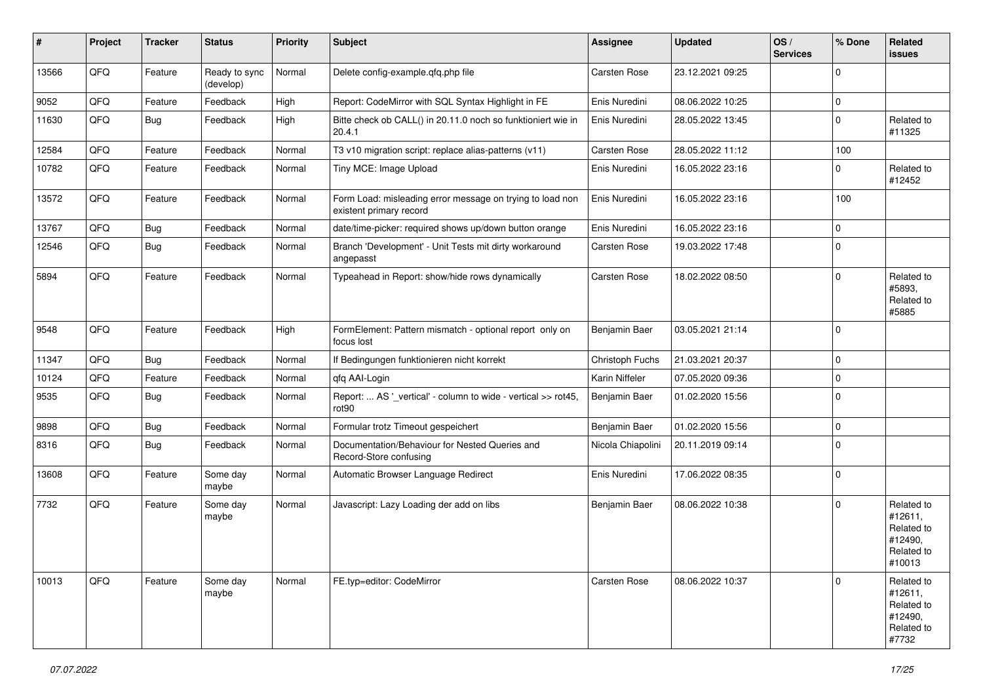| #     | Project | <b>Tracker</b> | <b>Status</b>              | <b>Priority</b> | <b>Subject</b>                                                                       | <b>Assignee</b>     | <b>Updated</b>   | OS/<br><b>Services</b> | % Done      | Related<br>issues                                                      |
|-------|---------|----------------|----------------------------|-----------------|--------------------------------------------------------------------------------------|---------------------|------------------|------------------------|-------------|------------------------------------------------------------------------|
| 13566 | QFQ     | Feature        | Ready to sync<br>(develop) | Normal          | Delete config-example.qfq.php file                                                   | Carsten Rose        | 23.12.2021 09:25 |                        | $\mathbf 0$ |                                                                        |
| 9052  | QFQ     | Feature        | Feedback                   | High            | Report: CodeMirror with SQL Syntax Highlight in FE                                   | Enis Nuredini       | 08.06.2022 10:25 |                        | 0           |                                                                        |
| 11630 | QFQ     | <b>Bug</b>     | Feedback                   | High            | Bitte check ob CALL() in 20.11.0 noch so funktioniert wie in<br>20.4.1               | Enis Nuredini       | 28.05.2022 13:45 |                        | $\mathbf 0$ | Related to<br>#11325                                                   |
| 12584 | QFQ     | Feature        | Feedback                   | Normal          | T3 v10 migration script: replace alias-patterns (v11)                                | Carsten Rose        | 28.05.2022 11:12 |                        | 100         |                                                                        |
| 10782 | QFQ     | Feature        | Feedback                   | Normal          | Tiny MCE: Image Upload                                                               | Enis Nuredini       | 16.05.2022 23:16 |                        | 0           | Related to<br>#12452                                                   |
| 13572 | QFQ     | Feature        | Feedback                   | Normal          | Form Load: misleading error message on trying to load non<br>existent primary record | Enis Nuredini       | 16.05.2022 23:16 |                        | 100         |                                                                        |
| 13767 | QFQ     | <b>Bug</b>     | Feedback                   | Normal          | date/time-picker: required shows up/down button orange                               | Enis Nuredini       | 16.05.2022 23:16 |                        | 0           |                                                                        |
| 12546 | QFQ     | <b>Bug</b>     | Feedback                   | Normal          | Branch 'Development' - Unit Tests mit dirty workaround<br>angepasst                  | <b>Carsten Rose</b> | 19.03.2022 17:48 |                        | $\mathbf 0$ |                                                                        |
| 5894  | QFQ     | Feature        | Feedback                   | Normal          | Typeahead in Report: show/hide rows dynamically                                      | Carsten Rose        | 18.02.2022 08:50 |                        | $\mathbf 0$ | Related to<br>#5893.<br>Related to<br>#5885                            |
| 9548  | QFQ     | Feature        | Feedback                   | High            | FormElement: Pattern mismatch - optional report only on<br>focus lost                | Benjamin Baer       | 03.05.2021 21:14 |                        | $\mathbf 0$ |                                                                        |
| 11347 | QFQ     | <b>Bug</b>     | Feedback                   | Normal          | If Bedingungen funktionieren nicht korrekt                                           | Christoph Fuchs     | 21.03.2021 20:37 |                        | $\pmb{0}$   |                                                                        |
| 10124 | QFQ     | Feature        | Feedback                   | Normal          | qfq AAI-Login                                                                        | Karin Niffeler      | 07.05.2020 09:36 |                        | 0           |                                                                        |
| 9535  | QFQ     | Bug            | Feedback                   | Normal          | Report:  AS '_vertical' - column to wide - vertical >> rot45,<br>rot90               | Benjamin Baer       | 01.02.2020 15:56 |                        | $\mathbf 0$ |                                                                        |
| 9898  | QFQ     | <b>Bug</b>     | Feedback                   | Normal          | Formular trotz Timeout gespeichert                                                   | Benjamin Baer       | 01.02.2020 15:56 |                        | 0           |                                                                        |
| 8316  | QFQ     | <b>Bug</b>     | Feedback                   | Normal          | Documentation/Behaviour for Nested Queries and<br>Record-Store confusing             | Nicola Chiapolini   | 20.11.2019 09:14 |                        | $\mathbf 0$ |                                                                        |
| 13608 | QFQ     | Feature        | Some day<br>maybe          | Normal          | Automatic Browser Language Redirect                                                  | Enis Nuredini       | 17.06.2022 08:35 |                        | $\mathbf 0$ |                                                                        |
| 7732  | QFQ     | Feature        | Some day<br>maybe          | Normal          | Javascript: Lazy Loading der add on libs                                             | Benjamin Baer       | 08.06.2022 10:38 |                        | $\mathbf 0$ | Related to<br>#12611,<br>Related to<br>#12490,<br>Related to<br>#10013 |
| 10013 | QFQ     | Feature        | Some day<br>maybe          | Normal          | FE.typ=editor: CodeMirror                                                            | Carsten Rose        | 08.06.2022 10:37 |                        | $\mathbf 0$ | Related to<br>#12611,<br>Related to<br>#12490,<br>Related to<br>#7732  |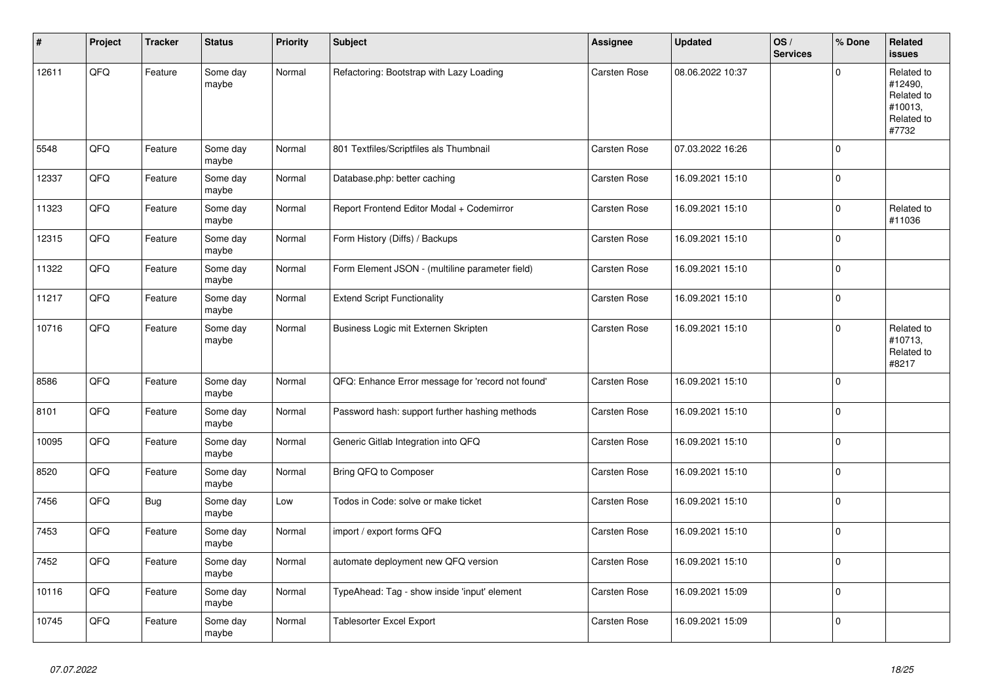| #     | Project | <b>Tracker</b> | <b>Status</b>     | <b>Priority</b> | <b>Subject</b>                                    | <b>Assignee</b>     | <b>Updated</b>   | OS/<br><b>Services</b> | % Done      | Related<br>issues                                                     |
|-------|---------|----------------|-------------------|-----------------|---------------------------------------------------|---------------------|------------------|------------------------|-------------|-----------------------------------------------------------------------|
| 12611 | QFQ     | Feature        | Some day<br>maybe | Normal          | Refactoring: Bootstrap with Lazy Loading          | Carsten Rose        | 08.06.2022 10:37 |                        | $\Omega$    | Related to<br>#12490,<br>Related to<br>#10013,<br>Related to<br>#7732 |
| 5548  | QFQ     | Feature        | Some day<br>maybe | Normal          | 801 Textfiles/Scriptfiles als Thumbnail           | Carsten Rose        | 07.03.2022 16:26 |                        | $\mathbf 0$ |                                                                       |
| 12337 | QFG     | Feature        | Some day<br>maybe | Normal          | Database.php: better caching                      | Carsten Rose        | 16.09.2021 15:10 |                        | $\mathbf 0$ |                                                                       |
| 11323 | QFQ     | Feature        | Some day<br>maybe | Normal          | Report Frontend Editor Modal + Codemirror         | Carsten Rose        | 16.09.2021 15:10 |                        | $\pmb{0}$   | Related to<br>#11036                                                  |
| 12315 | QFO     | Feature        | Some day<br>maybe | Normal          | Form History (Diffs) / Backups                    | Carsten Rose        | 16.09.2021 15:10 |                        | $\mathbf 0$ |                                                                       |
| 11322 | QFQ     | Feature        | Some day<br>maybe | Normal          | Form Element JSON - (multiline parameter field)   | Carsten Rose        | 16.09.2021 15:10 |                        | 0           |                                                                       |
| 11217 | QFQ     | Feature        | Some day<br>maybe | Normal          | <b>Extend Script Functionality</b>                | Carsten Rose        | 16.09.2021 15:10 |                        | $\pmb{0}$   |                                                                       |
| 10716 | QFQ     | Feature        | Some day<br>maybe | Normal          | Business Logic mit Externen Skripten              | <b>Carsten Rose</b> | 16.09.2021 15:10 |                        | $\mathbf 0$ | Related to<br>#10713,<br>Related to<br>#8217                          |
| 8586  | QFQ     | Feature        | Some day<br>maybe | Normal          | QFQ: Enhance Error message for 'record not found' | Carsten Rose        | 16.09.2021 15:10 |                        | $\mathbf 0$ |                                                                       |
| 8101  | QFQ     | Feature        | Some day<br>maybe | Normal          | Password hash: support further hashing methods    | Carsten Rose        | 16.09.2021 15:10 |                        | $\Omega$    |                                                                       |
| 10095 | QFQ     | Feature        | Some day<br>maybe | Normal          | Generic Gitlab Integration into QFQ               | Carsten Rose        | 16.09.2021 15:10 |                        | $\mathbf 0$ |                                                                       |
| 8520  | QFQ     | Feature        | Some day<br>maybe | Normal          | Bring QFQ to Composer                             | Carsten Rose        | 16.09.2021 15:10 |                        | $\pmb{0}$   |                                                                       |
| 7456  | QFQ     | Bug            | Some day<br>maybe | Low             | Todos in Code: solve or make ticket               | Carsten Rose        | 16.09.2021 15:10 |                        | $\mathbf 0$ |                                                                       |
| 7453  | QFQ     | Feature        | Some day<br>maybe | Normal          | import / export forms QFQ                         | Carsten Rose        | 16.09.2021 15:10 |                        | $\mathbf 0$ |                                                                       |
| 7452  | QFQ     | Feature        | Some day<br>maybe | Normal          | automate deployment new QFQ version               | Carsten Rose        | 16.09.2021 15:10 |                        | 0           |                                                                       |
| 10116 | QFQ     | Feature        | Some day<br>maybe | Normal          | TypeAhead: Tag - show inside 'input' element      | Carsten Rose        | 16.09.2021 15:09 |                        | $\mathbf 0$ |                                                                       |
| 10745 | QFQ     | Feature        | Some day<br>maybe | Normal          | <b>Tablesorter Excel Export</b>                   | <b>Carsten Rose</b> | 16.09.2021 15:09 |                        | $\mathbf 0$ |                                                                       |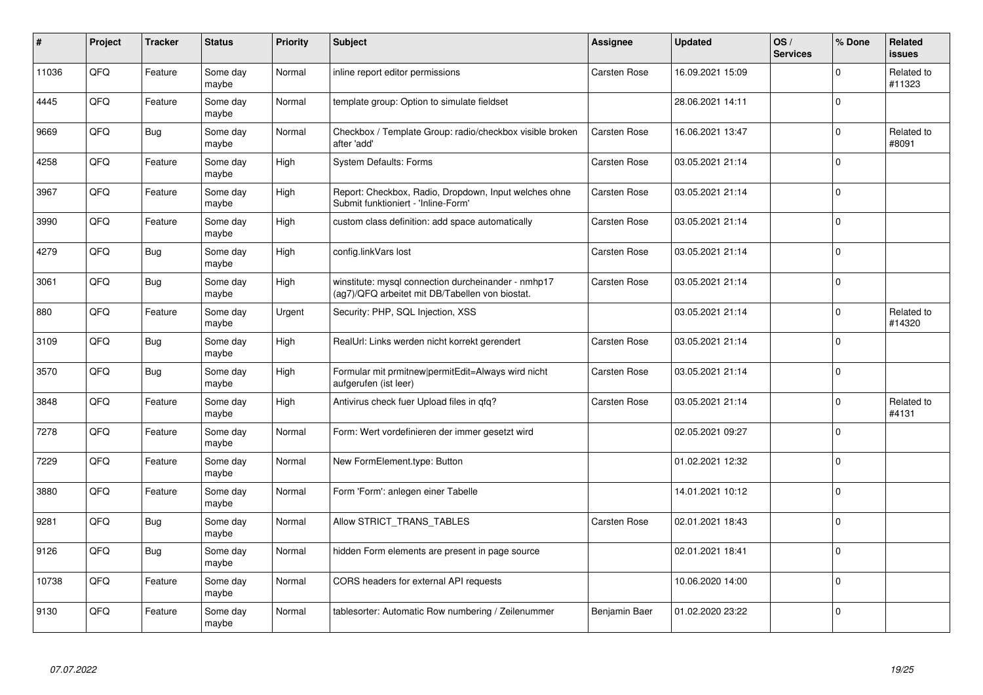| #     | Project | <b>Tracker</b> | <b>Status</b>     | <b>Priority</b> | <b>Subject</b>                                                                                         | Assignee      | <b>Updated</b>   | OS/<br><b>Services</b> | % Done      | Related<br><b>issues</b> |
|-------|---------|----------------|-------------------|-----------------|--------------------------------------------------------------------------------------------------------|---------------|------------------|------------------------|-------------|--------------------------|
| 11036 | QFQ     | Feature        | Some day<br>maybe | Normal          | inline report editor permissions                                                                       | Carsten Rose  | 16.09.2021 15:09 |                        | $\Omega$    | Related to<br>#11323     |
| 4445  | QFQ     | Feature        | Some day<br>maybe | Normal          | template group: Option to simulate fieldset                                                            |               | 28.06.2021 14:11 |                        | $\Omega$    |                          |
| 9669  | QFQ     | <b>Bug</b>     | Some day<br>maybe | Normal          | Checkbox / Template Group: radio/checkbox visible broken<br>after 'add'                                | Carsten Rose  | 16.06.2021 13:47 |                        | $\mathbf 0$ | Related to<br>#8091      |
| 4258  | QFQ     | Feature        | Some day<br>maybe | High            | <b>System Defaults: Forms</b>                                                                          | Carsten Rose  | 03.05.2021 21:14 |                        | $\Omega$    |                          |
| 3967  | QFQ     | Feature        | Some day<br>maybe | High            | Report: Checkbox, Radio, Dropdown, Input welches ohne<br>Submit funktioniert - 'Inline-Form'           | Carsten Rose  | 03.05.2021 21:14 |                        | $\Omega$    |                          |
| 3990  | QFQ     | Feature        | Some dav<br>maybe | High            | custom class definition: add space automatically                                                       | Carsten Rose  | 03.05.2021 21:14 |                        | $\Omega$    |                          |
| 4279  | QFQ     | <b>Bug</b>     | Some day<br>maybe | High            | config.linkVars lost                                                                                   | Carsten Rose  | 03.05.2021 21:14 |                        | $\Omega$    |                          |
| 3061  | QFQ     | Bug            | Some day<br>maybe | High            | winstitute: mysql connection durcheinander - nmhp17<br>(ag7)/QFQ arbeitet mit DB/Tabellen von biostat. | Carsten Rose  | 03.05.2021 21:14 |                        | $\Omega$    |                          |
| 880   | QFQ     | Feature        | Some day<br>maybe | Urgent          | Security: PHP, SQL Injection, XSS                                                                      |               | 03.05.2021 21:14 |                        | $\Omega$    | Related to<br>#14320     |
| 3109  | QFQ     | <b>Bug</b>     | Some day<br>maybe | High            | RealUrl: Links werden nicht korrekt gerendert                                                          | Carsten Rose  | 03.05.2021 21:14 |                        | $\Omega$    |                          |
| 3570  | QFQ     | Bug            | Some day<br>maybe | High            | Formular mit prmitnew permitEdit=Always wird nicht<br>aufgerufen (ist leer)                            | Carsten Rose  | 03.05.2021 21:14 |                        | $\Omega$    |                          |
| 3848  | QFQ     | Feature        | Some day<br>maybe | High            | Antivirus check fuer Upload files in qfq?                                                              | Carsten Rose  | 03.05.2021 21:14 |                        | $\Omega$    | Related to<br>#4131      |
| 7278  | QFQ     | Feature        | Some day<br>maybe | Normal          | Form: Wert vordefinieren der immer gesetzt wird                                                        |               | 02.05.2021 09:27 |                        | $\Omega$    |                          |
| 7229  | QFQ     | Feature        | Some day<br>maybe | Normal          | New FormElement.type: Button                                                                           |               | 01.02.2021 12:32 |                        | $\Omega$    |                          |
| 3880  | QFQ     | Feature        | Some day<br>maybe | Normal          | Form 'Form': anlegen einer Tabelle                                                                     |               | 14.01.2021 10:12 |                        | $\Omega$    |                          |
| 9281  | QFQ     | Bug            | Some day<br>maybe | Normal          | Allow STRICT_TRANS_TABLES                                                                              | Carsten Rose  | 02.01.2021 18:43 |                        | $\Omega$    |                          |
| 9126  | QFQ     | <b>Bug</b>     | Some day<br>maybe | Normal          | hidden Form elements are present in page source                                                        |               | 02.01.2021 18:41 |                        | $\Omega$    |                          |
| 10738 | QFQ     | Feature        | Some day<br>maybe | Normal          | CORS headers for external API requests                                                                 |               | 10.06.2020 14:00 |                        | $\Omega$    |                          |
| 9130  | QFQ     | Feature        | Some day<br>maybe | Normal          | tablesorter: Automatic Row numbering / Zeilenummer                                                     | Benjamin Baer | 01.02.2020 23:22 |                        | $\Omega$    |                          |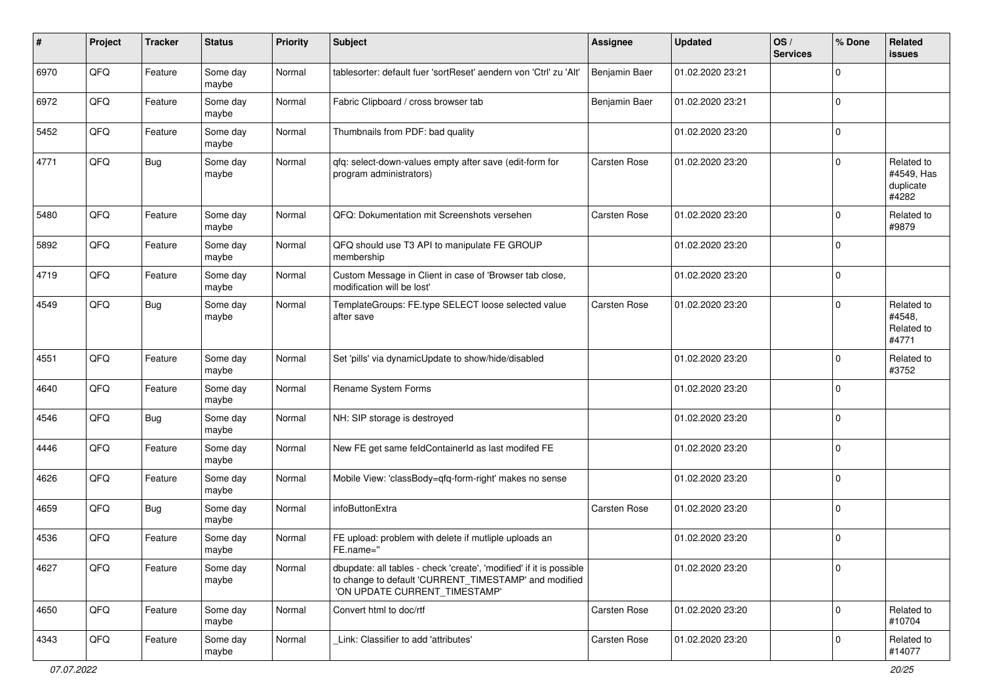| #    | Project | <b>Tracker</b> | <b>Status</b>     | <b>Priority</b> | <b>Subject</b>                                                                                                                                                | <b>Assignee</b>     | <b>Updated</b>   | OS/<br><b>Services</b> | % Done      | <b>Related</b><br>issues                       |
|------|---------|----------------|-------------------|-----------------|---------------------------------------------------------------------------------------------------------------------------------------------------------------|---------------------|------------------|------------------------|-------------|------------------------------------------------|
| 6970 | QFQ     | Feature        | Some day<br>maybe | Normal          | tablesorter: default fuer 'sortReset' aendern von 'Ctrl' zu 'Alt'                                                                                             | Benjamin Baer       | 01.02.2020 23:21 |                        | $\mathbf 0$ |                                                |
| 6972 | QFQ     | Feature        | Some day<br>maybe | Normal          | Fabric Clipboard / cross browser tab                                                                                                                          | Benjamin Baer       | 01.02.2020 23:21 |                        | $\mathbf 0$ |                                                |
| 5452 | QFQ     | Feature        | Some day<br>maybe | Normal          | Thumbnails from PDF: bad quality                                                                                                                              |                     | 01.02.2020 23:20 |                        | $\mathbf 0$ |                                                |
| 4771 | QFQ     | <b>Bug</b>     | Some day<br>maybe | Normal          | qfq: select-down-values empty after save (edit-form for<br>program administrators)                                                                            | Carsten Rose        | 01.02.2020 23:20 |                        | $\mathbf 0$ | Related to<br>#4549, Has<br>duplicate<br>#4282 |
| 5480 | QFQ     | Feature        | Some day<br>maybe | Normal          | QFQ: Dokumentation mit Screenshots versehen                                                                                                                   | Carsten Rose        | 01.02.2020 23:20 |                        | $\mathbf 0$ | Related to<br>#9879                            |
| 5892 | QFQ     | Feature        | Some day<br>maybe | Normal          | QFQ should use T3 API to manipulate FE GROUP<br>membership                                                                                                    |                     | 01.02.2020 23:20 |                        | $\mathbf 0$ |                                                |
| 4719 | QFQ     | Feature        | Some day<br>maybe | Normal          | Custom Message in Client in case of 'Browser tab close,<br>modification will be lost'                                                                         |                     | 01.02.2020 23:20 |                        | $\mathbf 0$ |                                                |
| 4549 | QFQ     | <b>Bug</b>     | Some day<br>maybe | Normal          | TemplateGroups: FE.type SELECT loose selected value<br>after save                                                                                             | <b>Carsten Rose</b> | 01.02.2020 23:20 |                        | $\mathbf 0$ | Related to<br>#4548,<br>Related to<br>#4771    |
| 4551 | QFQ     | Feature        | Some day<br>maybe | Normal          | Set 'pills' via dynamicUpdate to show/hide/disabled                                                                                                           |                     | 01.02.2020 23:20 |                        | $\mathbf 0$ | Related to<br>#3752                            |
| 4640 | QFQ     | Feature        | Some day<br>maybe | Normal          | Rename System Forms                                                                                                                                           |                     | 01.02.2020 23:20 |                        | $\mathbf 0$ |                                                |
| 4546 | QFQ     | <b>Bug</b>     | Some day<br>maybe | Normal          | NH: SIP storage is destroyed                                                                                                                                  |                     | 01.02.2020 23:20 |                        | $\mathbf 0$ |                                                |
| 4446 | QFQ     | Feature        | Some day<br>maybe | Normal          | New FE get same feldContainerId as last modifed FE                                                                                                            |                     | 01.02.2020 23:20 |                        | $\mathbf 0$ |                                                |
| 4626 | QFQ     | Feature        | Some day<br>maybe | Normal          | Mobile View: 'classBody=qfq-form-right' makes no sense                                                                                                        |                     | 01.02.2020 23:20 |                        | $\mathbf 0$ |                                                |
| 4659 | QFQ     | <b>Bug</b>     | Some day<br>maybe | Normal          | infoButtonExtra                                                                                                                                               | Carsten Rose        | 01.02.2020 23:20 |                        | $\mathbf 0$ |                                                |
| 4536 | QFQ     | Feature        | Some day<br>maybe | Normal          | FE upload: problem with delete if mutliple uploads an<br>FE.name="                                                                                            |                     | 01.02.2020 23:20 |                        | $\mathbf 0$ |                                                |
| 4627 | QFQ     | Feature        | Some day<br>maybe | Normal          | dbupdate: all tables - check 'create', 'modified' if it is possible<br>to change to default 'CURRENT_TIMESTAMP' and modified<br>'ON UPDATE CURRENT_TIMESTAMP' |                     | 01.02.2020 23:20 |                        | $\mathbf 0$ |                                                |
| 4650 | QFQ     | Feature        | Some day<br>maybe | Normal          | Convert html to doc/rtf                                                                                                                                       | Carsten Rose        | 01.02.2020 23:20 |                        | $\mathbf 0$ | Related to<br>#10704                           |
| 4343 | QFQ     | Feature        | Some day<br>maybe | Normal          | Link: Classifier to add 'attributes'                                                                                                                          | Carsten Rose        | 01.02.2020 23:20 |                        | $\mathbf 0$ | Related to<br>#14077                           |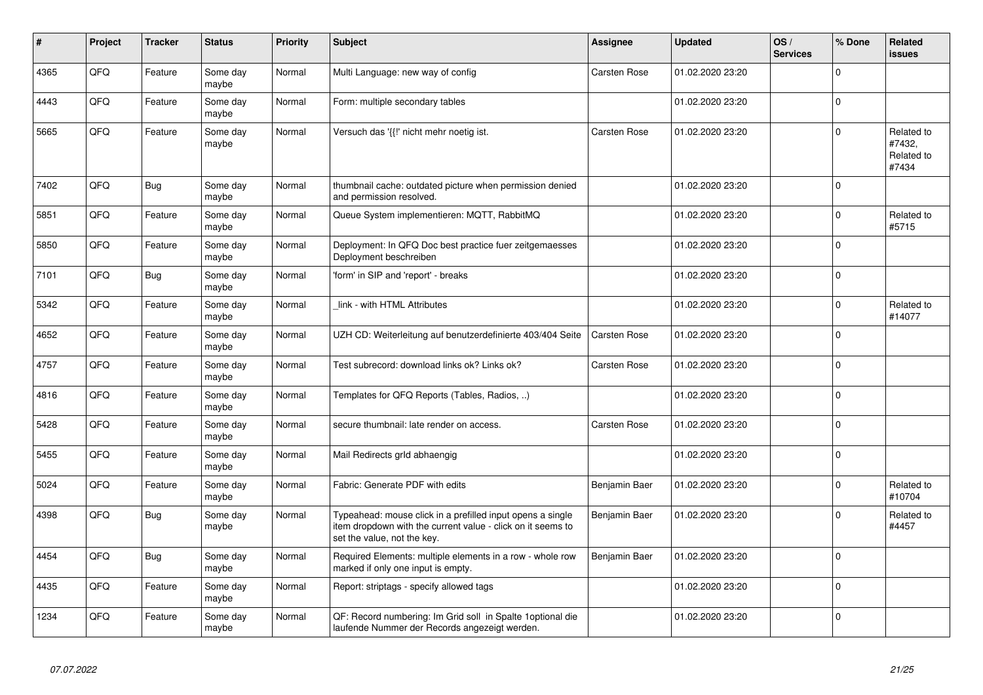| #    | Project | <b>Tracker</b> | <b>Status</b>     | <b>Priority</b> | <b>Subject</b>                                                                                                                                           | Assignee            | <b>Updated</b>   | OS/<br><b>Services</b> | % Done   | Related<br><b>issues</b>                    |
|------|---------|----------------|-------------------|-----------------|----------------------------------------------------------------------------------------------------------------------------------------------------------|---------------------|------------------|------------------------|----------|---------------------------------------------|
| 4365 | QFQ     | Feature        | Some day<br>maybe | Normal          | Multi Language: new way of config                                                                                                                        | Carsten Rose        | 01.02.2020 23:20 |                        | $\Omega$ |                                             |
| 4443 | QFQ     | Feature        | Some day<br>maybe | Normal          | Form: multiple secondary tables                                                                                                                          |                     | 01.02.2020 23:20 |                        | $\Omega$ |                                             |
| 5665 | QFQ     | Feature        | Some day<br>maybe | Normal          | Versuch das '{{!' nicht mehr noetig ist.                                                                                                                 | Carsten Rose        | 01.02.2020 23:20 |                        | $\Omega$ | Related to<br>#7432,<br>Related to<br>#7434 |
| 7402 | QFQ     | <b>Bug</b>     | Some day<br>maybe | Normal          | thumbnail cache: outdated picture when permission denied<br>and permission resolved.                                                                     |                     | 01.02.2020 23:20 |                        | $\Omega$ |                                             |
| 5851 | QFQ     | Feature        | Some day<br>maybe | Normal          | Queue System implementieren: MQTT, RabbitMQ                                                                                                              |                     | 01.02.2020 23:20 |                        | $\Omega$ | Related to<br>#5715                         |
| 5850 | QFQ     | Feature        | Some dav<br>maybe | Normal          | Deployment: In QFQ Doc best practice fuer zeitgemaesses<br>Deployment beschreiben                                                                        |                     | 01.02.2020 23:20 |                        | $\Omega$ |                                             |
| 7101 | QFQ     | <b>Bug</b>     | Some day<br>maybe | Normal          | 'form' in SIP and 'report' - breaks                                                                                                                      |                     | 01.02.2020 23:20 |                        | $\Omega$ |                                             |
| 5342 | QFQ     | Feature        | Some day<br>maybe | Normal          | link - with HTML Attributes                                                                                                                              |                     | 01.02.2020 23:20 |                        | $\Omega$ | Related to<br>#14077                        |
| 4652 | QFQ     | Feature        | Some day<br>maybe | Normal          | UZH CD: Weiterleitung auf benutzerdefinierte 403/404 Seite                                                                                               | <b>Carsten Rose</b> | 01.02.2020 23:20 |                        | $\Omega$ |                                             |
| 4757 | QFQ     | Feature        | Some day<br>maybe | Normal          | Test subrecord: download links ok? Links ok?                                                                                                             | Carsten Rose        | 01.02.2020 23:20 |                        | $\Omega$ |                                             |
| 4816 | QFQ     | Feature        | Some day<br>maybe | Normal          | Templates for QFQ Reports (Tables, Radios, )                                                                                                             |                     | 01.02.2020 23:20 |                        | $\Omega$ |                                             |
| 5428 | QFQ     | Feature        | Some day<br>maybe | Normal          | secure thumbnail: late render on access.                                                                                                                 | Carsten Rose        | 01.02.2020 23:20 |                        | $\Omega$ |                                             |
| 5455 | QFQ     | Feature        | Some dav<br>maybe | Normal          | Mail Redirects grld abhaengig                                                                                                                            |                     | 01.02.2020 23:20 |                        | $\Omega$ |                                             |
| 5024 | QFQ     | Feature        | Some day<br>maybe | Normal          | Fabric: Generate PDF with edits                                                                                                                          | Benjamin Baer       | 01.02.2020 23:20 |                        | $\Omega$ | Related to<br>#10704                        |
| 4398 | QFQ     | <b>Bug</b>     | Some day<br>maybe | Normal          | Typeahead: mouse click in a prefilled input opens a single<br>item dropdown with the current value - click on it seems to<br>set the value, not the key. | Benjamin Baer       | 01.02.2020 23:20 |                        | $\Omega$ | Related to<br>#4457                         |
| 4454 | QFQ     | <b>Bug</b>     | Some day<br>maybe | Normal          | Required Elements: multiple elements in a row - whole row<br>marked if only one input is empty.                                                          | Benjamin Baer       | 01.02.2020 23:20 |                        | $\Omega$ |                                             |
| 4435 | QFQ     | Feature        | Some day<br>maybe | Normal          | Report: striptags - specify allowed tags                                                                                                                 |                     | 01.02.2020 23:20 |                        | $\Omega$ |                                             |
| 1234 | QFQ     | Feature        | Some day<br>maybe | Normal          | QF: Record numbering: Im Grid soll in Spalte 1 optional die<br>laufende Nummer der Records angezeigt werden.                                             |                     | 01.02.2020 23:20 |                        | $\Omega$ |                                             |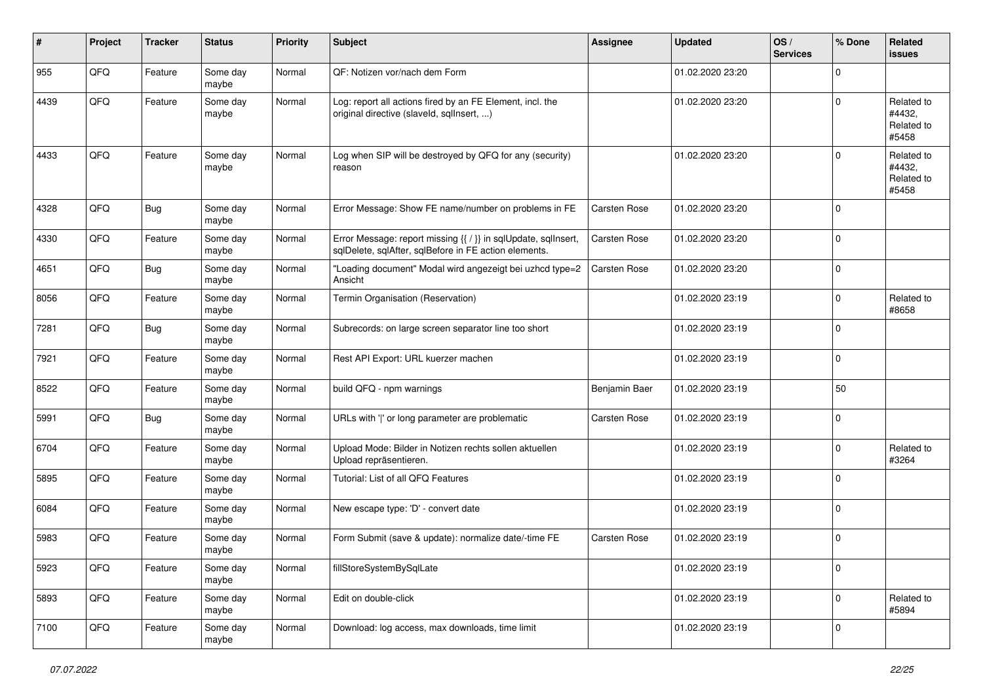| ∦    | Project | <b>Tracker</b> | <b>Status</b>     | <b>Priority</b> | Subject                                                                                                                 | <b>Assignee</b>     | <b>Updated</b>   | OS/<br><b>Services</b> | % Done   | Related<br>issues                           |
|------|---------|----------------|-------------------|-----------------|-------------------------------------------------------------------------------------------------------------------------|---------------------|------------------|------------------------|----------|---------------------------------------------|
| 955  | QFQ     | Feature        | Some day<br>maybe | Normal          | QF: Notizen vor/nach dem Form                                                                                           |                     | 01.02.2020 23:20 |                        | 0        |                                             |
| 4439 | QFQ     | Feature        | Some day<br>maybe | Normal          | Log: report all actions fired by an FE Element, incl. the<br>original directive (slaveld, sqllnsert, )                  |                     | 01.02.2020 23:20 |                        | 0        | Related to<br>#4432.<br>Related to<br>#5458 |
| 4433 | QFQ     | Feature        | Some day<br>maybe | Normal          | Log when SIP will be destroyed by QFQ for any (security)<br>reason                                                      |                     | 01.02.2020 23:20 |                        | 0        | Related to<br>#4432,<br>Related to<br>#5458 |
| 4328 | QFQ     | <b>Bug</b>     | Some day<br>maybe | Normal          | Error Message: Show FE name/number on problems in FE                                                                    | <b>Carsten Rose</b> | 01.02.2020 23:20 |                        | $\Omega$ |                                             |
| 4330 | QFQ     | Feature        | Some day<br>maybe | Normal          | Error Message: report missing {{ / }} in sqlUpdate, sqlInsert,<br>sqlDelete, sqlAfter, sqlBefore in FE action elements. | Carsten Rose        | 01.02.2020 23:20 |                        | 0        |                                             |
| 4651 | QFQ     | <b>Bug</b>     | Some day<br>maybe | Normal          | "Loading document" Modal wird angezeigt bei uzhcd type=2<br>Ansicht                                                     | <b>Carsten Rose</b> | 01.02.2020 23:20 |                        | 0        |                                             |
| 8056 | QFQ     | Feature        | Some day<br>maybe | Normal          | Termin Organisation (Reservation)                                                                                       |                     | 01.02.2020 23:19 |                        | 0        | Related to<br>#8658                         |
| 7281 | QFQ     | Bug            | Some day<br>maybe | Normal          | Subrecords: on large screen separator line too short                                                                    |                     | 01.02.2020 23:19 |                        | 0        |                                             |
| 7921 | QFQ     | Feature        | Some day<br>maybe | Normal          | Rest API Export: URL kuerzer machen                                                                                     |                     | 01.02.2020 23:19 |                        | 0        |                                             |
| 8522 | QFQ     | Feature        | Some day<br>maybe | Normal          | build QFQ - npm warnings                                                                                                | Benjamin Baer       | 01.02.2020 23:19 |                        | 50       |                                             |
| 5991 | QFQ     | <b>Bug</b>     | Some day<br>maybe | Normal          | URLs with ' ' or long parameter are problematic                                                                         | Carsten Rose        | 01.02.2020 23:19 |                        | 0        |                                             |
| 6704 | QFQ     | Feature        | Some day<br>maybe | Normal          | Upload Mode: Bilder in Notizen rechts sollen aktuellen<br>Upload repräsentieren.                                        |                     | 01.02.2020 23:19 |                        | 0        | Related to<br>#3264                         |
| 5895 | QFQ     | Feature        | Some day<br>maybe | Normal          | Tutorial: List of all QFQ Features                                                                                      |                     | 01.02.2020 23:19 |                        | 0        |                                             |
| 6084 | QFQ     | Feature        | Some day<br>maybe | Normal          | New escape type: 'D' - convert date                                                                                     |                     | 01.02.2020 23:19 |                        | 0        |                                             |
| 5983 | QFQ     | Feature        | Some day<br>maybe | Normal          | Form Submit (save & update): normalize date/-time FE                                                                    | <b>Carsten Rose</b> | 01.02.2020 23:19 |                        | 0        |                                             |
| 5923 | QFO     | Feature        | Some day<br>maybe | Normal          | fillStoreSystemBySqlLate                                                                                                |                     | 01.02.2020 23:19 |                        | 0        |                                             |
| 5893 | QFO     | Feature        | Some day<br>maybe | Normal          | Edit on double-click                                                                                                    |                     | 01.02.2020 23:19 |                        | 0        | Related to<br>#5894                         |
| 7100 | QFO     | Feature        | Some day<br>maybe | Normal          | Download: log access, max downloads, time limit                                                                         |                     | 01.02.2020 23:19 |                        | 0        |                                             |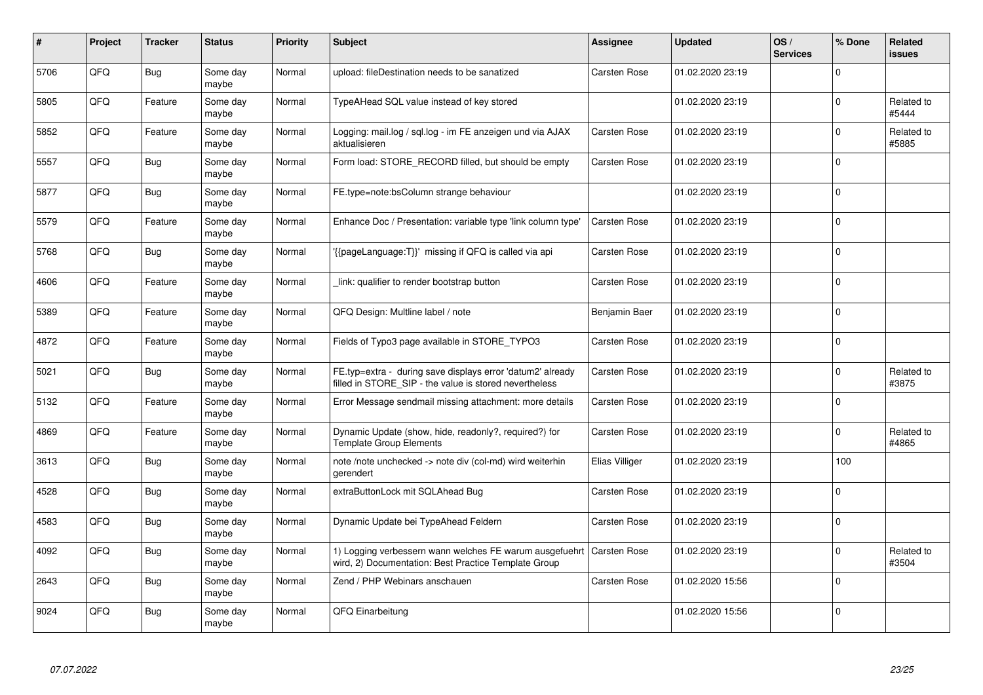| ∦    | Project | <b>Tracker</b> | <b>Status</b>     | <b>Priority</b> | <b>Subject</b>                                                                                                       | <b>Assignee</b> | <b>Updated</b>   | OS/<br><b>Services</b> | % Done      | Related<br>issues   |
|------|---------|----------------|-------------------|-----------------|----------------------------------------------------------------------------------------------------------------------|-----------------|------------------|------------------------|-------------|---------------------|
| 5706 | QFQ     | Bug            | Some day<br>maybe | Normal          | upload: fileDestination needs to be sanatized                                                                        | Carsten Rose    | 01.02.2020 23:19 |                        | $\Omega$    |                     |
| 5805 | QFQ     | Feature        | Some day<br>maybe | Normal          | TypeAHead SQL value instead of key stored                                                                            |                 | 01.02.2020 23:19 |                        | 0           | Related to<br>#5444 |
| 5852 | QFQ     | Feature        | Some day<br>maybe | Normal          | Logging: mail.log / sql.log - im FE anzeigen und via AJAX<br>aktualisieren                                           | Carsten Rose    | 01.02.2020 23:19 |                        | 0           | Related to<br>#5885 |
| 5557 | QFQ     | Bug            | Some day<br>maybe | Normal          | Form load: STORE_RECORD filled, but should be empty                                                                  | Carsten Rose    | 01.02.2020 23:19 |                        | 0           |                     |
| 5877 | QFQ     | Bug            | Some day<br>maybe | Normal          | FE.type=note:bsColumn strange behaviour                                                                              |                 | 01.02.2020 23:19 |                        | $\mathbf 0$ |                     |
| 5579 | QFQ     | Feature        | Some day<br>maybe | Normal          | Enhance Doc / Presentation: variable type 'link column type'                                                         | Carsten Rose    | 01.02.2020 23:19 |                        | 0           |                     |
| 5768 | QFQ     | Bug            | Some day<br>maybe | Normal          | {{pageLanguage:T}}' missing if QFQ is called via api                                                                 | Carsten Rose    | 01.02.2020 23:19 |                        | 0           |                     |
| 4606 | QFQ     | Feature        | Some day<br>maybe | Normal          | link: qualifier to render bootstrap button                                                                           | Carsten Rose    | 01.02.2020 23:19 |                        | $\Omega$    |                     |
| 5389 | QFQ     | Feature        | Some day<br>maybe | Normal          | QFQ Design: Multline label / note                                                                                    | Benjamin Baer   | 01.02.2020 23:19 |                        | $\mathbf 0$ |                     |
| 4872 | QFQ     | Feature        | Some day<br>maybe | Normal          | Fields of Typo3 page available in STORE_TYPO3                                                                        | Carsten Rose    | 01.02.2020 23:19 |                        | 0           |                     |
| 5021 | QFQ     | <b>Bug</b>     | Some day<br>maybe | Normal          | FE.typ=extra - during save displays error 'datum2' already<br>filled in STORE_SIP - the value is stored nevertheless | Carsten Rose    | 01.02.2020 23:19 |                        | $\mathbf 0$ | Related to<br>#3875 |
| 5132 | QFQ     | Feature        | Some day<br>maybe | Normal          | Error Message sendmail missing attachment: more details                                                              | Carsten Rose    | 01.02.2020 23:19 |                        | 0           |                     |
| 4869 | QFQ     | Feature        | Some day<br>maybe | Normal          | Dynamic Update (show, hide, readonly?, required?) for<br><b>Template Group Elements</b>                              | Carsten Rose    | 01.02.2020 23:19 |                        | $\mathsf 0$ | Related to<br>#4865 |
| 3613 | QFQ     | Bug            | Some day<br>maybe | Normal          | note /note unchecked -> note div (col-md) wird weiterhin<br>gerendert                                                | Elias Villiger  | 01.02.2020 23:19 |                        | 100         |                     |
| 4528 | QFQ     | Bug            | Some day<br>maybe | Normal          | extraButtonLock mit SQLAhead Bug                                                                                     | Carsten Rose    | 01.02.2020 23:19 |                        | $\Omega$    |                     |
| 4583 | QFQ     | <b>Bug</b>     | Some day<br>maybe | Normal          | Dynamic Update bei TypeAhead Feldern                                                                                 | Carsten Rose    | 01.02.2020 23:19 |                        | $\Omega$    |                     |
| 4092 | QFQ     | Bug            | Some day<br>maybe | Normal          | 1) Logging verbessern wann welches FE warum ausgefuehrt<br>wird, 2) Documentation: Best Practice Template Group      | Carsten Rose    | 01.02.2020 23:19 |                        | $\Omega$    | Related to<br>#3504 |
| 2643 | QFQ     | Bug            | Some day<br>maybe | Normal          | Zend / PHP Webinars anschauen                                                                                        | Carsten Rose    | 01.02.2020 15:56 |                        | $\Omega$    |                     |
| 9024 | QFQ     | Bug            | Some day<br>maybe | Normal          | QFQ Einarbeitung                                                                                                     |                 | 01.02.2020 15:56 |                        | $\Omega$    |                     |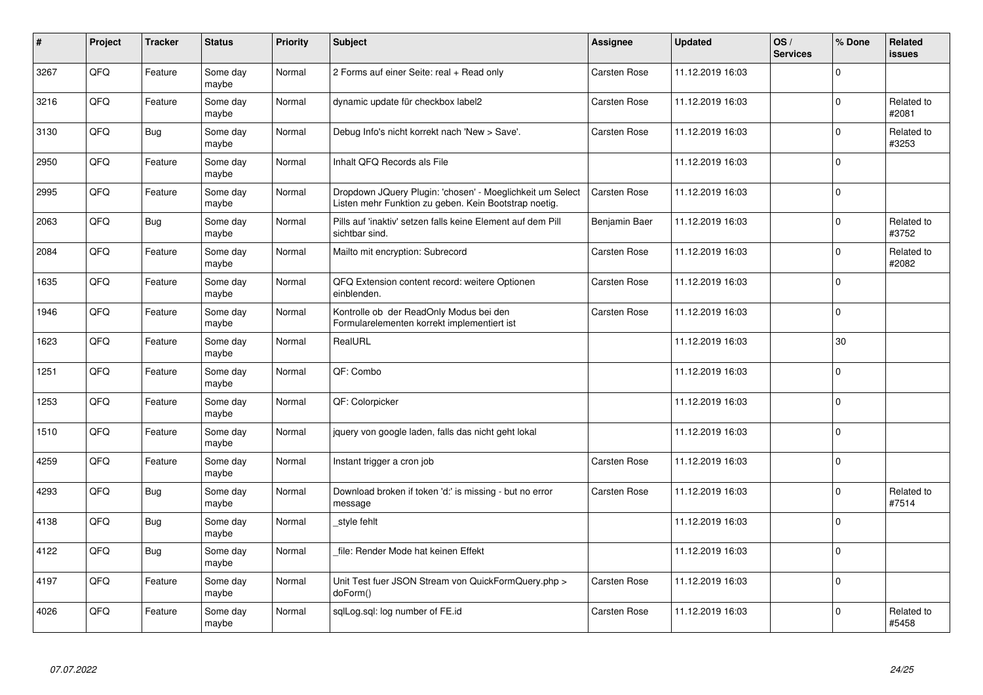| ∦    | Project | <b>Tracker</b> | <b>Status</b>     | Priority | <b>Subject</b>                                                                                                     | <b>Assignee</b>     | <b>Updated</b>   | OS/<br><b>Services</b> | % Done      | <b>Related</b><br><b>issues</b> |
|------|---------|----------------|-------------------|----------|--------------------------------------------------------------------------------------------------------------------|---------------------|------------------|------------------------|-------------|---------------------------------|
| 3267 | QFQ     | Feature        | Some day<br>maybe | Normal   | 2 Forms auf einer Seite: real + Read only                                                                          | <b>Carsten Rose</b> | 11.12.2019 16:03 |                        | $\Omega$    |                                 |
| 3216 | QFQ     | Feature        | Some day<br>maybe | Normal   | dynamic update für checkbox label2                                                                                 | Carsten Rose        | 11.12.2019 16:03 |                        | $\mathbf 0$ | Related to<br>#2081             |
| 3130 | QFQ     | <b>Bug</b>     | Some day<br>maybe | Normal   | Debug Info's nicht korrekt nach 'New > Save'.                                                                      | Carsten Rose        | 11.12.2019 16:03 |                        | $\mathbf 0$ | Related to<br>#3253             |
| 2950 | QFQ     | Feature        | Some day<br>maybe | Normal   | Inhalt QFQ Records als File                                                                                        |                     | 11.12.2019 16:03 |                        | $\Omega$    |                                 |
| 2995 | QFQ     | Feature        | Some day<br>maybe | Normal   | Dropdown JQuery Plugin: 'chosen' - Moeglichkeit um Select<br>Listen mehr Funktion zu geben. Kein Bootstrap noetig. | Carsten Rose        | 11.12.2019 16:03 |                        | $\mathbf 0$ |                                 |
| 2063 | QFQ     | Bug            | Some day<br>maybe | Normal   | Pills auf 'inaktiv' setzen falls keine Element auf dem Pill<br>sichtbar sind.                                      | Benjamin Baer       | 11.12.2019 16:03 |                        | $\mathbf 0$ | Related to<br>#3752             |
| 2084 | QFQ     | Feature        | Some day<br>maybe | Normal   | Mailto mit encryption: Subrecord                                                                                   | Carsten Rose        | 11.12.2019 16:03 |                        | $\mathbf 0$ | Related to<br>#2082             |
| 1635 | QFQ     | Feature        | Some day<br>maybe | Normal   | QFQ Extension content record: weitere Optionen<br>einblenden.                                                      | Carsten Rose        | 11.12.2019 16:03 |                        | $\mathbf 0$ |                                 |
| 1946 | QFQ     | Feature        | Some day<br>maybe | Normal   | Kontrolle ob der ReadOnly Modus bei den<br>Formularelementen korrekt implementiert ist                             | Carsten Rose        | 11.12.2019 16:03 |                        | $\Omega$    |                                 |
| 1623 | QFQ     | Feature        | Some day<br>maybe | Normal   | RealURL                                                                                                            |                     | 11.12.2019 16:03 |                        | 30          |                                 |
| 1251 | QFQ     | Feature        | Some day<br>maybe | Normal   | QF: Combo                                                                                                          |                     | 11.12.2019 16:03 |                        | $\mathbf 0$ |                                 |
| 1253 | QFQ     | Feature        | Some day<br>maybe | Normal   | QF: Colorpicker                                                                                                    |                     | 11.12.2019 16:03 |                        | $\Omega$    |                                 |
| 1510 | QFQ     | Feature        | Some day<br>maybe | Normal   | jquery von google laden, falls das nicht geht lokal                                                                |                     | 11.12.2019 16:03 |                        | $\mathbf 0$ |                                 |
| 4259 | QFQ     | Feature        | Some day<br>maybe | Normal   | Instant trigger a cron job                                                                                         | Carsten Rose        | 11.12.2019 16:03 |                        | $\mathbf 0$ |                                 |
| 4293 | QFQ     | <b>Bug</b>     | Some day<br>maybe | Normal   | Download broken if token 'd:' is missing - but no error<br>message                                                 | <b>Carsten Rose</b> | 11.12.2019 16:03 |                        | $\Omega$    | Related to<br>#7514             |
| 4138 | QFQ     | <b>Bug</b>     | Some day<br>maybe | Normal   | style fehlt                                                                                                        |                     | 11.12.2019 16:03 |                        | $\Omega$    |                                 |
| 4122 | QFQ     | <b>Bug</b>     | Some day<br>maybe | Normal   | file: Render Mode hat keinen Effekt                                                                                |                     | 11.12.2019 16:03 |                        | $\mathbf 0$ |                                 |
| 4197 | QFQ     | Feature        | Some day<br>maybe | Normal   | Unit Test fuer JSON Stream von QuickFormQuery.php ><br>doForm()                                                    | Carsten Rose        | 11.12.2019 16:03 |                        | $\Omega$    |                                 |
| 4026 | QFQ     | Feature        | Some day<br>maybe | Normal   | sqlLog.sql: log number of FE.id                                                                                    | <b>Carsten Rose</b> | 11.12.2019 16:03 |                        | $\Omega$    | Related to<br>#5458             |